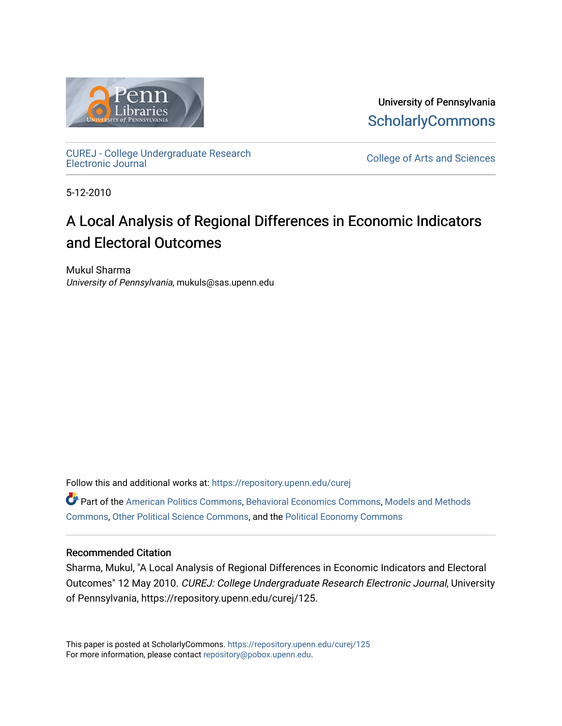

University of Pennsylvania **ScholarlyCommons** 

[CUREJ - College Undergraduate Research](https://repository.upenn.edu/curej) 

College of Arts and Sciences

5-12-2010

# A Local Analysis of Regional Differences in Economic Indicators and Electoral Outcomes

Mukul Sharma University of Pennsylvania, mukuls@sas.upenn.edu

Follow this and additional works at: [https://repository.upenn.edu/curej](https://repository.upenn.edu/curej?utm_source=repository.upenn.edu%2Fcurej%2F125&utm_medium=PDF&utm_campaign=PDFCoverPages)

Part of the [American Politics Commons,](http://network.bepress.com/hgg/discipline/387?utm_source=repository.upenn.edu%2Fcurej%2F125&utm_medium=PDF&utm_campaign=PDFCoverPages) [Behavioral Economics Commons](http://network.bepress.com/hgg/discipline/341?utm_source=repository.upenn.edu%2Fcurej%2F125&utm_medium=PDF&utm_campaign=PDFCoverPages), [Models and Methods](http://network.bepress.com/hgg/discipline/390?utm_source=repository.upenn.edu%2Fcurej%2F125&utm_medium=PDF&utm_campaign=PDFCoverPages) [Commons](http://network.bepress.com/hgg/discipline/390?utm_source=repository.upenn.edu%2Fcurej%2F125&utm_medium=PDF&utm_campaign=PDFCoverPages), [Other Political Science Commons,](http://network.bepress.com/hgg/discipline/392?utm_source=repository.upenn.edu%2Fcurej%2F125&utm_medium=PDF&utm_campaign=PDFCoverPages) and the [Political Economy Commons](http://network.bepress.com/hgg/discipline/352?utm_source=repository.upenn.edu%2Fcurej%2F125&utm_medium=PDF&utm_campaign=PDFCoverPages) 

## Recommended Citation

Sharma, Mukul, "A Local Analysis of Regional Differences in Economic Indicators and Electoral Outcomes" 12 May 2010. CUREJ: College Undergraduate Research Electronic Journal, University of Pennsylvania, https://repository.upenn.edu/curej/125.

This paper is posted at ScholarlyCommons.<https://repository.upenn.edu/curej/125> For more information, please contact [repository@pobox.upenn.edu.](mailto:repository@pobox.upenn.edu)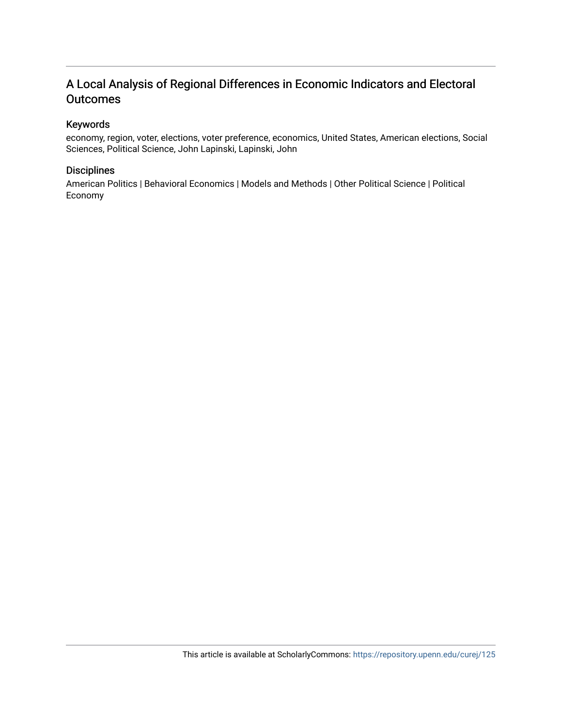## A Local Analysis of Regional Differences in Economic Indicators and Electoral **Outcomes**

## Keywords

economy, region, voter, elections, voter preference, economics, United States, American elections, Social Sciences, Political Science, John Lapinski, Lapinski, John

## **Disciplines**

American Politics | Behavioral Economics | Models and Methods | Other Political Science | Political Economy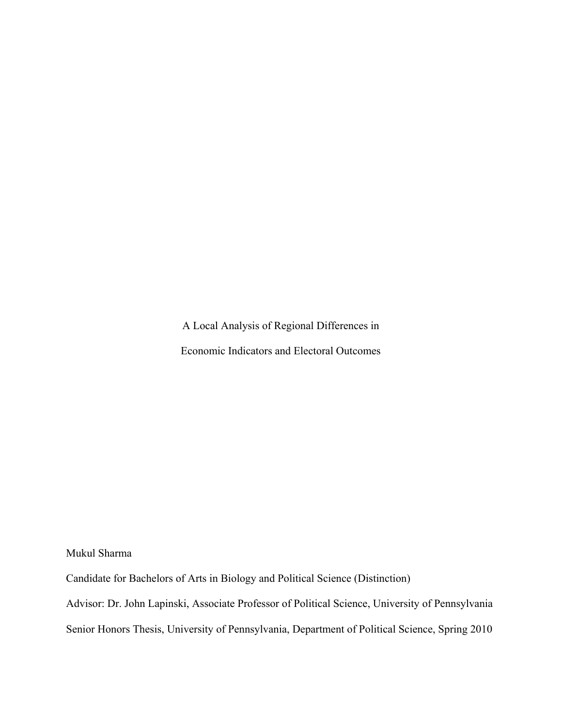A Local Analysis of Regional Differences in Economic Indicators and Electoral Outcomes

Mukul Sharma

Candidate for Bachelors of Arts in Biology and Political Science (Distinction)

Advisor: Dr. John Lapinski, Associate Professor of Political Science, University of Pennsylvania

Senior Honors Thesis, University of Pennsylvania, Department of Political Science, Spring 2010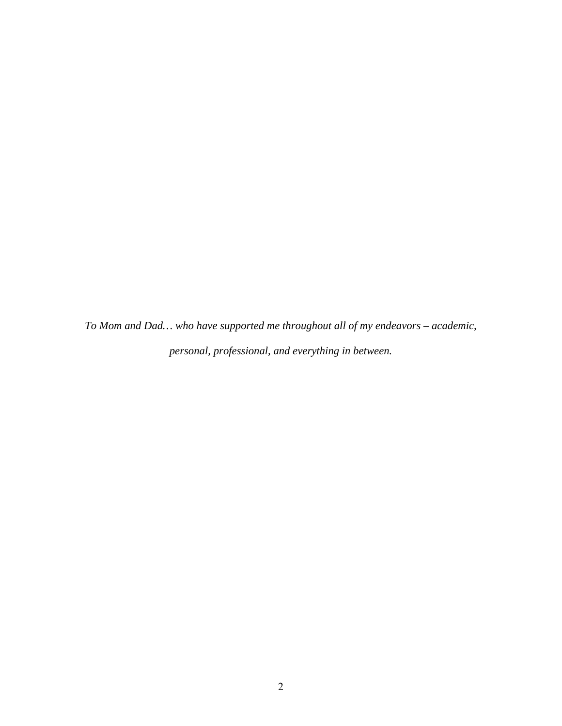*To Mom and Dad… who have supported me throughout all of my endeavors – academic, personal, professional, and everything in between.*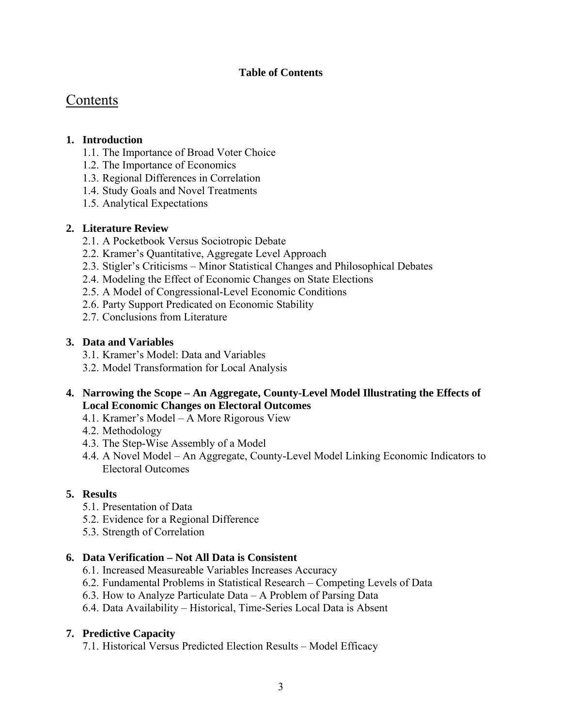## **Table of Contents**

## Contents

## **1. Introduction**

- 1.1. The Importance of Broad Voter Choice
- 1.2. The Importance of Economics
- 1.3. Regional Differences in Correlation
- 1.4. Study Goals and Novel Treatments
- 1.5. Analytical Expectations

## **2. Literature Review**

- 2.1. A Pocketbook Versus Sociotropic Debate
- 2.2. Kramer's Quantitative, Aggregate Level Approach
- 2.3. Stigler's Criticisms Minor Statistical Changes and Philosophical Debates
- 2.4. Modeling the Effect of Economic Changes on State Elections
- 2.5. A Model of Congressional-Level Economic Conditions
- 2.6. Party Support Predicated on Economic Stability
- 2.7. Conclusions from Literature

## **3. Data and Variables**

- 3.1. Kramer's Model: Data and Variables
- 3.2. Model Transformation for Local Analysis
- **4. Narrowing the Scope An Aggregate, County-Level Model Illustrating the Effects of Local Economic Changes on Electoral Outcomes** 
	- 4.1. Kramer's Model A More Rigorous View
	- 4.2. Methodology
	- 4.3. The Step-Wise Assembly of a Model
	- 4.4. A Novel Model An Aggregate, County-Level Model Linking Economic Indicators to Electoral Outcomes

## **5. Results**

- 5.1. Presentation of Data
- 5.2. Evidence for a Regional Difference
- 5.3. Strength of Correlation

## **6. Data Verification – Not All Data is Consistent**

- 6.1. Increased Measureable Variables Increases Accuracy
- 6.2. Fundamental Problems in Statistical Research Competing Levels of Data
- 6.3. How to Analyze Particulate Data A Problem of Parsing Data
- 6.4. Data Availability Historical, Time-Series Local Data is Absent

## **7. Predictive Capacity**

7.1. Historical Versus Predicted Election Results – Model Efficacy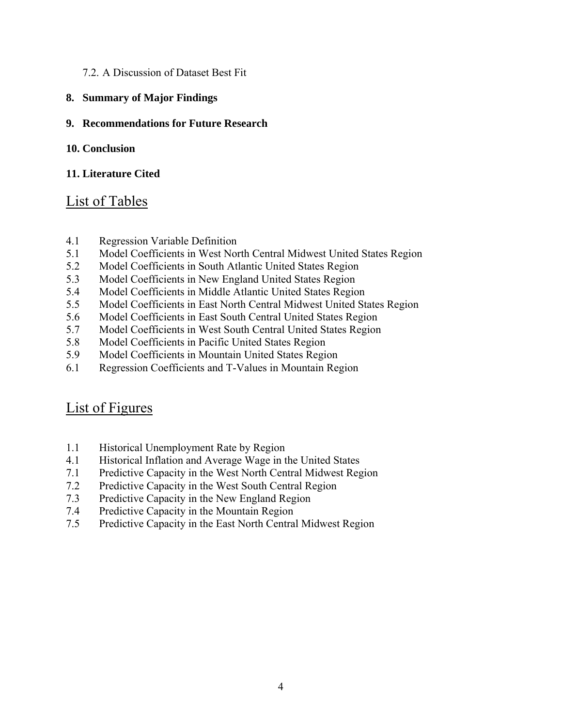## 7.2. A Discussion of Dataset Best Fit

**8. Summary of Major Findings** 

## **9. Recommendations for Future Research**

## **10. Conclusion**

## **11. Literature Cited**

## List of Tables

- 4.1 Regression Variable Definition
- 5.1 Model Coefficients in West North Central Midwest United States Region
- 5.2 Model Coefficients in South Atlantic United States Region
- 5.3 Model Coefficients in New England United States Region
- 5.4 Model Coefficients in Middle Atlantic United States Region
- 5.5 Model Coefficients in East North Central Midwest United States Region
- 5.6 Model Coefficients in East South Central United States Region
- 5.7 Model Coefficients in West South Central United States Region
- 5.8 Model Coefficients in Pacific United States Region
- 5.9 Model Coefficients in Mountain United States Region
- 6.1 Regression Coefficients and T-Values in Mountain Region

## List of Figures

- 1.1 Historical Unemployment Rate by Region
- 4.1 Historical Inflation and Average Wage in the United States
- 7.1 Predictive Capacity in the West North Central Midwest Region
- 7.2 Predictive Capacity in the West South Central Region
- 7.3 Predictive Capacity in the New England Region
- 7.4 Predictive Capacity in the Mountain Region
- 7.5 Predictive Capacity in the East North Central Midwest Region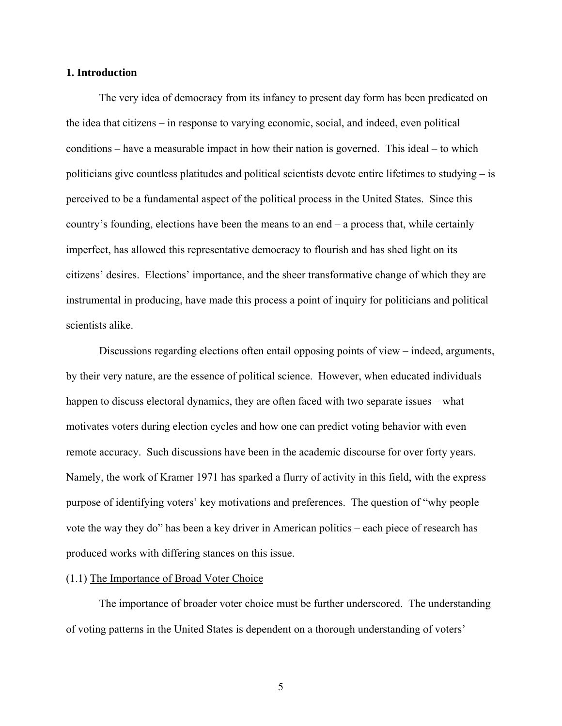#### **1. Introduction**

The very idea of democracy from its infancy to present day form has been predicated on the idea that citizens – in response to varying economic, social, and indeed, even political conditions – have a measurable impact in how their nation is governed. This ideal – to which politicians give countless platitudes and political scientists devote entire lifetimes to studying – is perceived to be a fundamental aspect of the political process in the United States. Since this country's founding, elections have been the means to an end – a process that, while certainly imperfect, has allowed this representative democracy to flourish and has shed light on its citizens' desires. Elections' importance, and the sheer transformative change of which they are instrumental in producing, have made this process a point of inquiry for politicians and political scientists alike.

Discussions regarding elections often entail opposing points of view – indeed, arguments, by their very nature, are the essence of political science. However, when educated individuals happen to discuss electoral dynamics, they are often faced with two separate issues – what motivates voters during election cycles and how one can predict voting behavior with even remote accuracy. Such discussions have been in the academic discourse for over forty years. Namely, the work of Kramer 1971 has sparked a flurry of activity in this field, with the express purpose of identifying voters' key motivations and preferences. The question of "why people vote the way they do" has been a key driver in American politics – each piece of research has produced works with differing stances on this issue.

### (1.1) The Importance of Broad Voter Choice

 The importance of broader voter choice must be further underscored. The understanding of voting patterns in the United States is dependent on a thorough understanding of voters'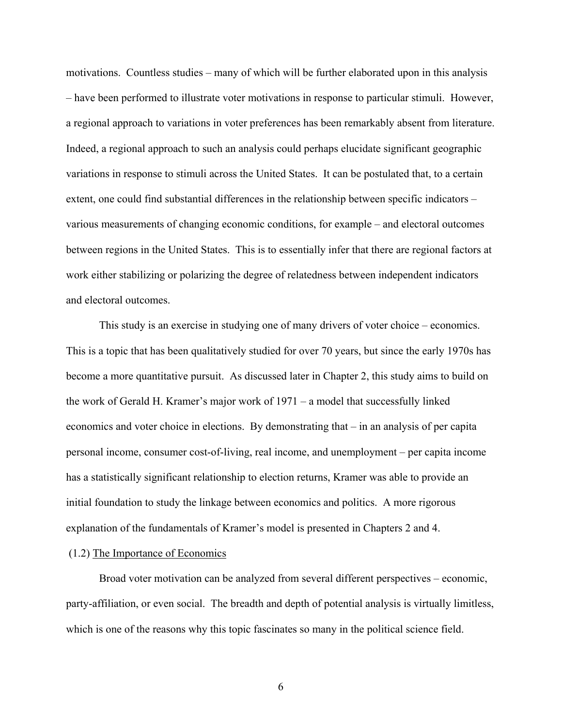motivations. Countless studies – many of which will be further elaborated upon in this analysis – have been performed to illustrate voter motivations in response to particular stimuli. However, a regional approach to variations in voter preferences has been remarkably absent from literature. Indeed, a regional approach to such an analysis could perhaps elucidate significant geographic variations in response to stimuli across the United States. It can be postulated that, to a certain extent, one could find substantial differences in the relationship between specific indicators – various measurements of changing economic conditions, for example – and electoral outcomes between regions in the United States. This is to essentially infer that there are regional factors at work either stabilizing or polarizing the degree of relatedness between independent indicators and electoral outcomes.

 This study is an exercise in studying one of many drivers of voter choice – economics. This is a topic that has been qualitatively studied for over 70 years, but since the early 1970s has become a more quantitative pursuit. As discussed later in Chapter 2, this study aims to build on the work of Gerald H. Kramer's major work of 1971 – a model that successfully linked economics and voter choice in elections. By demonstrating that – in an analysis of per capita personal income, consumer cost-of-living, real income, and unemployment – per capita income has a statistically significant relationship to election returns, Kramer was able to provide an initial foundation to study the linkage between economics and politics. A more rigorous explanation of the fundamentals of Kramer's model is presented in Chapters 2 and 4.

## (1.2) The Importance of Economics

 Broad voter motivation can be analyzed from several different perspectives – economic, party-affiliation, or even social. The breadth and depth of potential analysis is virtually limitless, which is one of the reasons why this topic fascinates so many in the political science field.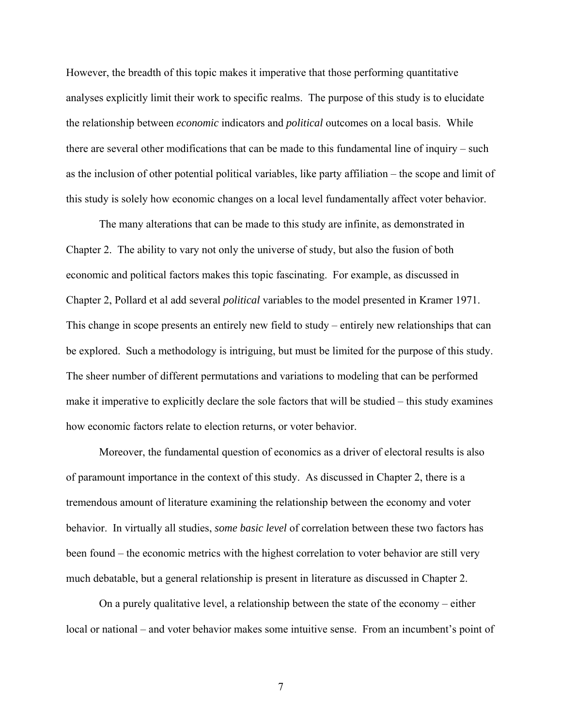However, the breadth of this topic makes it imperative that those performing quantitative analyses explicitly limit their work to specific realms. The purpose of this study is to elucidate the relationship between *economic* indicators and *political* outcomes on a local basis. While there are several other modifications that can be made to this fundamental line of inquiry – such as the inclusion of other potential political variables, like party affiliation – the scope and limit of this study is solely how economic changes on a local level fundamentally affect voter behavior.

 The many alterations that can be made to this study are infinite, as demonstrated in Chapter 2. The ability to vary not only the universe of study, but also the fusion of both economic and political factors makes this topic fascinating. For example, as discussed in Chapter 2, Pollard et al add several *political* variables to the model presented in Kramer 1971. This change in scope presents an entirely new field to study – entirely new relationships that can be explored. Such a methodology is intriguing, but must be limited for the purpose of this study. The sheer number of different permutations and variations to modeling that can be performed make it imperative to explicitly declare the sole factors that will be studied – this study examines how economic factors relate to election returns, or voter behavior.

 Moreover, the fundamental question of economics as a driver of electoral results is also of paramount importance in the context of this study. As discussed in Chapter 2, there is a tremendous amount of literature examining the relationship between the economy and voter behavior. In virtually all studies, *some basic level* of correlation between these two factors has been found – the economic metrics with the highest correlation to voter behavior are still very much debatable, but a general relationship is present in literature as discussed in Chapter 2.

 On a purely qualitative level, a relationship between the state of the economy – either local or national – and voter behavior makes some intuitive sense. From an incumbent's point of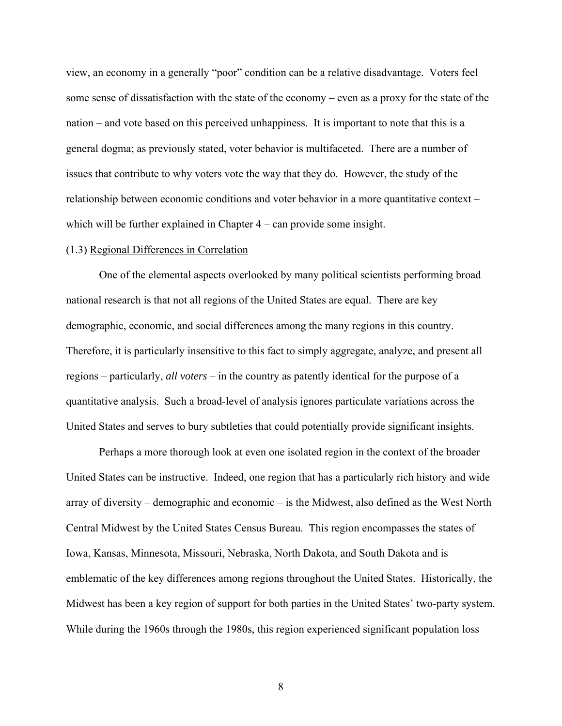view, an economy in a generally "poor" condition can be a relative disadvantage. Voters feel some sense of dissatisfaction with the state of the economy – even as a proxy for the state of the nation – and vote based on this perceived unhappiness. It is important to note that this is a general dogma; as previously stated, voter behavior is multifaceted. There are a number of issues that contribute to why voters vote the way that they do. However, the study of the relationship between economic conditions and voter behavior in a more quantitative context – which will be further explained in Chapter  $4 - \text{can provide some insight.}$ 

#### (1.3) Regional Differences in Correlation

One of the elemental aspects overlooked by many political scientists performing broad national research is that not all regions of the United States are equal. There are key demographic, economic, and social differences among the many regions in this country. Therefore, it is particularly insensitive to this fact to simply aggregate, analyze, and present all regions – particularly, *all voters* – in the country as patently identical for the purpose of a quantitative analysis. Such a broad-level of analysis ignores particulate variations across the United States and serves to bury subtleties that could potentially provide significant insights.

Perhaps a more thorough look at even one isolated region in the context of the broader United States can be instructive. Indeed, one region that has a particularly rich history and wide array of diversity – demographic and economic – is the Midwest, also defined as the West North Central Midwest by the United States Census Bureau. This region encompasses the states of Iowa, Kansas, Minnesota, Missouri, Nebraska, North Dakota, and South Dakota and is emblematic of the key differences among regions throughout the United States. Historically, the Midwest has been a key region of support for both parties in the United States' two-party system. While during the 1960s through the 1980s, this region experienced significant population loss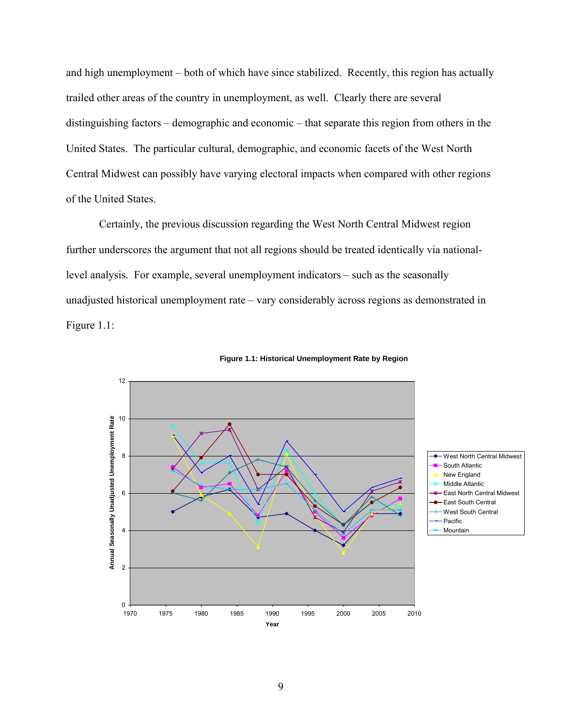and high unemployment – both of which have since stabilized. Recently, this region has actually trailed other areas of the country in unemployment, as well. Clearly there are several distinguishing factors – demographic and economic – that separate this region from others in the United States. The particular cultural, demographic, and economic facets of the West North Central Midwest can possibly have varying electoral impacts when compared with other regions of the United States.

Certainly, the previous discussion regarding the West North Central Midwest region further underscores the argument that not all regions should be treated identically via nationallevel analysis. For example, several unemployment indicators – such as the seasonally unadjusted historical unemployment rate – vary considerably across regions as demonstrated in Figure 1.1:



**Figure 1.1: Historical Unemployment Rate by Region**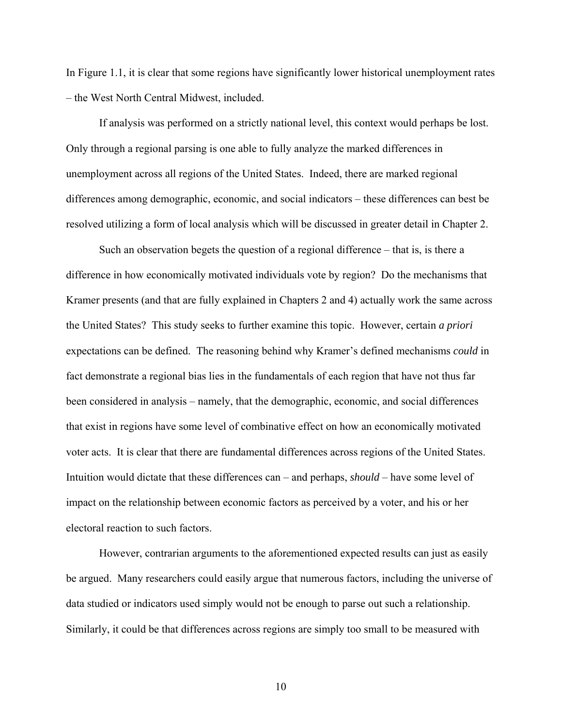In Figure 1.1, it is clear that some regions have significantly lower historical unemployment rates – the West North Central Midwest, included.

If analysis was performed on a strictly national level, this context would perhaps be lost. Only through a regional parsing is one able to fully analyze the marked differences in unemployment across all regions of the United States. Indeed, there are marked regional differences among demographic, economic, and social indicators – these differences can best be resolved utilizing a form of local analysis which will be discussed in greater detail in Chapter 2.

Such an observation begets the question of a regional difference – that is, is there a difference in how economically motivated individuals vote by region? Do the mechanisms that Kramer presents (and that are fully explained in Chapters 2 and 4) actually work the same across the United States? This study seeks to further examine this topic. However, certain *a priori* expectations can be defined. The reasoning behind why Kramer's defined mechanisms *could* in fact demonstrate a regional bias lies in the fundamentals of each region that have not thus far been considered in analysis – namely, that the demographic, economic, and social differences that exist in regions have some level of combinative effect on how an economically motivated voter acts. It is clear that there are fundamental differences across regions of the United States. Intuition would dictate that these differences can – and perhaps, *should* – have some level of impact on the relationship between economic factors as perceived by a voter, and his or her electoral reaction to such factors.

However, contrarian arguments to the aforementioned expected results can just as easily be argued. Many researchers could easily argue that numerous factors, including the universe of data studied or indicators used simply would not be enough to parse out such a relationship. Similarly, it could be that differences across regions are simply too small to be measured with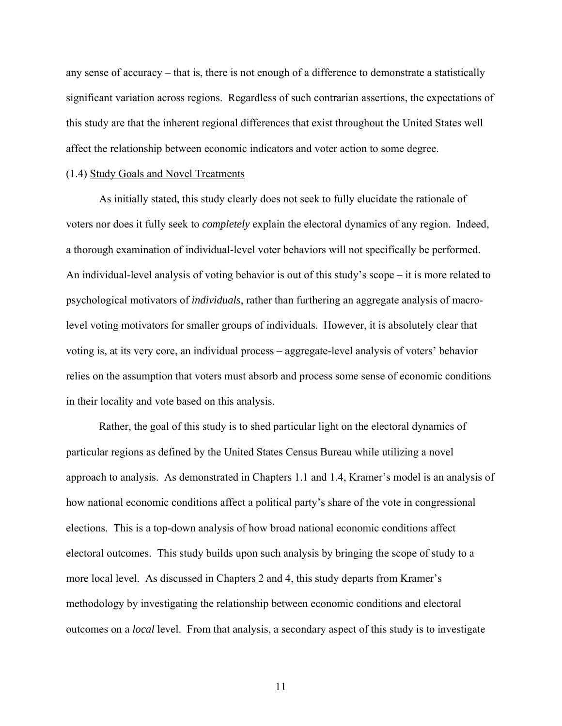any sense of accuracy – that is, there is not enough of a difference to demonstrate a statistically significant variation across regions. Regardless of such contrarian assertions, the expectations of this study are that the inherent regional differences that exist throughout the United States well affect the relationship between economic indicators and voter action to some degree.

#### (1.4) Study Goals and Novel Treatments

 As initially stated, this study clearly does not seek to fully elucidate the rationale of voters nor does it fully seek to *completely* explain the electoral dynamics of any region. Indeed, a thorough examination of individual-level voter behaviors will not specifically be performed. An individual-level analysis of voting behavior is out of this study's scope – it is more related to psychological motivators of *individuals*, rather than furthering an aggregate analysis of macrolevel voting motivators for smaller groups of individuals. However, it is absolutely clear that voting is, at its very core, an individual process – aggregate-level analysis of voters' behavior relies on the assumption that voters must absorb and process some sense of economic conditions in their locality and vote based on this analysis.

Rather, the goal of this study is to shed particular light on the electoral dynamics of particular regions as defined by the United States Census Bureau while utilizing a novel approach to analysis. As demonstrated in Chapters 1.1 and 1.4, Kramer's model is an analysis of how national economic conditions affect a political party's share of the vote in congressional elections. This is a top-down analysis of how broad national economic conditions affect electoral outcomes. This study builds upon such analysis by bringing the scope of study to a more local level. As discussed in Chapters 2 and 4, this study departs from Kramer's methodology by investigating the relationship between economic conditions and electoral outcomes on a *local* level. From that analysis, a secondary aspect of this study is to investigate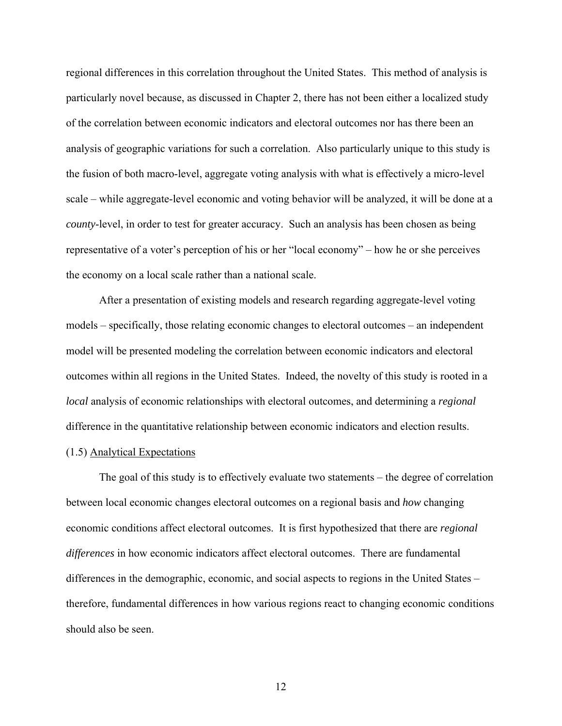regional differences in this correlation throughout the United States. This method of analysis is particularly novel because, as discussed in Chapter 2, there has not been either a localized study of the correlation between economic indicators and electoral outcomes nor has there been an analysis of geographic variations for such a correlation. Also particularly unique to this study is the fusion of both macro-level, aggregate voting analysis with what is effectively a micro-level scale – while aggregate-level economic and voting behavior will be analyzed, it will be done at a *county*-level, in order to test for greater accuracy. Such an analysis has been chosen as being representative of a voter's perception of his or her "local economy" – how he or she perceives the economy on a local scale rather than a national scale.

After a presentation of existing models and research regarding aggregate-level voting models – specifically, those relating economic changes to electoral outcomes – an independent model will be presented modeling the correlation between economic indicators and electoral outcomes within all regions in the United States. Indeed, the novelty of this study is rooted in a *local* analysis of economic relationships with electoral outcomes, and determining a *regional* difference in the quantitative relationship between economic indicators and election results.

## (1.5) Analytical Expectations

 The goal of this study is to effectively evaluate two statements – the degree of correlation between local economic changes electoral outcomes on a regional basis and *how* changing economic conditions affect electoral outcomes. It is first hypothesized that there are *regional differences* in how economic indicators affect electoral outcomes. There are fundamental differences in the demographic, economic, and social aspects to regions in the United States – therefore, fundamental differences in how various regions react to changing economic conditions should also be seen.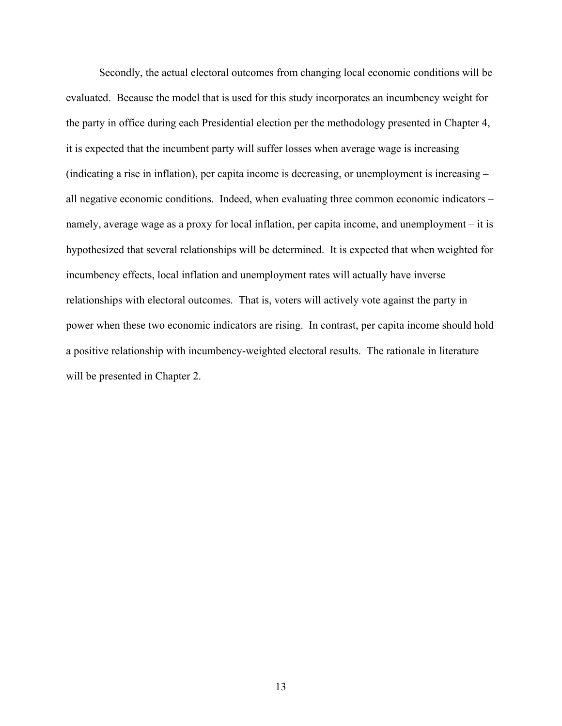Secondly, the actual electoral outcomes from changing local economic conditions will be evaluated. Because the model that is used for this study incorporates an incumbency weight for the party in office during each Presidential election per the methodology presented in Chapter 4, it is expected that the incumbent party will suffer losses when average wage is increasing (indicating a rise in inflation), per capita income is decreasing, or unemployment is increasing – all negative economic conditions. Indeed, when evaluating three common economic indicators – namely, average wage as a proxy for local inflation, per capita income, and unemployment – it is hypothesized that several relationships will be determined. It is expected that when weighted for incumbency effects, local inflation and unemployment rates will actually have inverse relationships with electoral outcomes. That is, voters will actively vote against the party in power when these two economic indicators are rising. In contrast, per capita income should hold a positive relationship with incumbency-weighted electoral results. The rationale in literature will be presented in Chapter 2.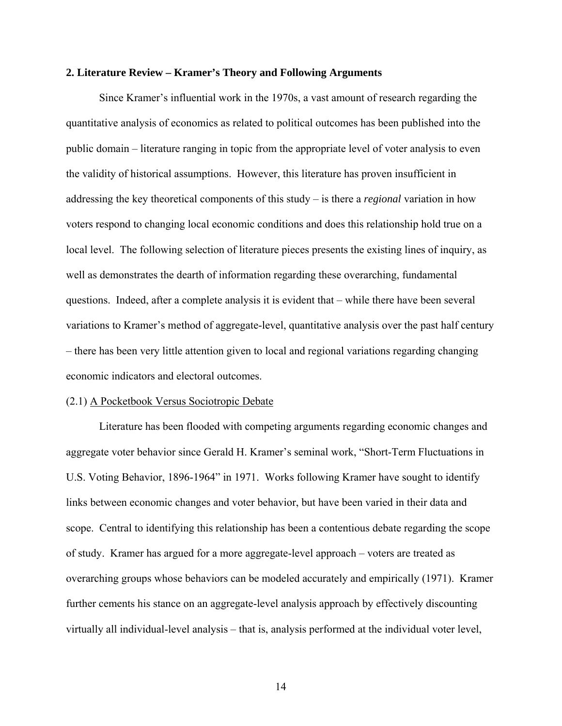#### **2. Literature Review – Kramer's Theory and Following Arguments**

 Since Kramer's influential work in the 1970s, a vast amount of research regarding the quantitative analysis of economics as related to political outcomes has been published into the public domain – literature ranging in topic from the appropriate level of voter analysis to even the validity of historical assumptions. However, this literature has proven insufficient in addressing the key theoretical components of this study – is there a *regional* variation in how voters respond to changing local economic conditions and does this relationship hold true on a local level. The following selection of literature pieces presents the existing lines of inquiry, as well as demonstrates the dearth of information regarding these overarching, fundamental questions. Indeed, after a complete analysis it is evident that – while there have been several variations to Kramer's method of aggregate-level, quantitative analysis over the past half century – there has been very little attention given to local and regional variations regarding changing economic indicators and electoral outcomes.

#### (2.1) A Pocketbook Versus Sociotropic Debate

Literature has been flooded with competing arguments regarding economic changes and aggregate voter behavior since Gerald H. Kramer's seminal work, "Short-Term Fluctuations in U.S. Voting Behavior, 1896-1964" in 1971. Works following Kramer have sought to identify links between economic changes and voter behavior, but have been varied in their data and scope. Central to identifying this relationship has been a contentious debate regarding the scope of study. Kramer has argued for a more aggregate-level approach – voters are treated as overarching groups whose behaviors can be modeled accurately and empirically (1971). Kramer further cements his stance on an aggregate-level analysis approach by effectively discounting virtually all individual-level analysis – that is, analysis performed at the individual voter level,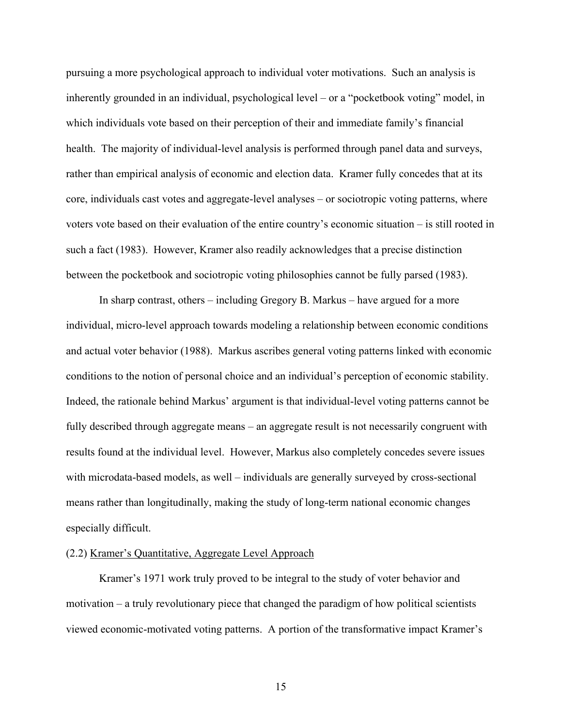pursuing a more psychological approach to individual voter motivations. Such an analysis is inherently grounded in an individual, psychological level – or a "pocketbook voting" model, in which individuals vote based on their perception of their and immediate family's financial health. The majority of individual-level analysis is performed through panel data and surveys, rather than empirical analysis of economic and election data. Kramer fully concedes that at its core, individuals cast votes and aggregate-level analyses – or sociotropic voting patterns, where voters vote based on their evaluation of the entire country's economic situation – is still rooted in such a fact (1983). However, Kramer also readily acknowledges that a precise distinction between the pocketbook and sociotropic voting philosophies cannot be fully parsed (1983).

In sharp contrast, others – including Gregory B. Markus – have argued for a more individual, micro-level approach towards modeling a relationship between economic conditions and actual voter behavior (1988). Markus ascribes general voting patterns linked with economic conditions to the notion of personal choice and an individual's perception of economic stability. Indeed, the rationale behind Markus' argument is that individual-level voting patterns cannot be fully described through aggregate means – an aggregate result is not necessarily congruent with results found at the individual level. However, Markus also completely concedes severe issues with microdata-based models, as well – individuals are generally surveyed by cross-sectional means rather than longitudinally, making the study of long-term national economic changes especially difficult.

## (2.2) Kramer's Quantitative, Aggregate Level Approach

 Kramer's 1971 work truly proved to be integral to the study of voter behavior and motivation – a truly revolutionary piece that changed the paradigm of how political scientists viewed economic-motivated voting patterns. A portion of the transformative impact Kramer's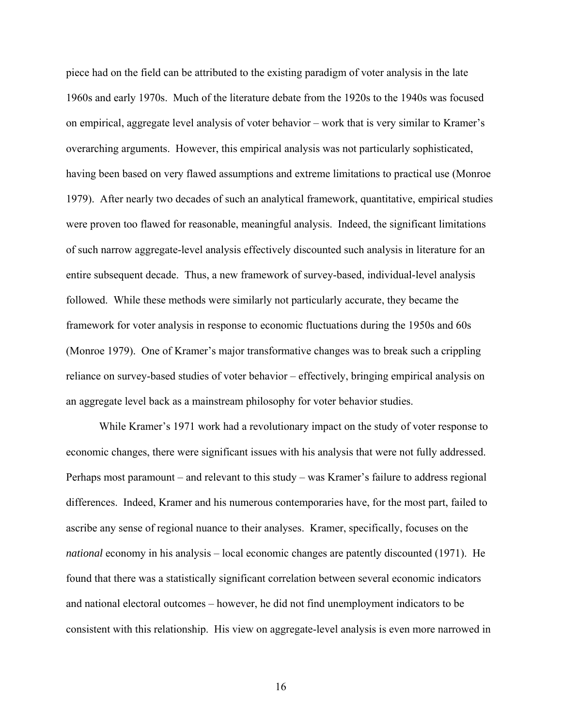piece had on the field can be attributed to the existing paradigm of voter analysis in the late 1960s and early 1970s. Much of the literature debate from the 1920s to the 1940s was focused on empirical, aggregate level analysis of voter behavior – work that is very similar to Kramer's overarching arguments. However, this empirical analysis was not particularly sophisticated, having been based on very flawed assumptions and extreme limitations to practical use (Monroe 1979). After nearly two decades of such an analytical framework, quantitative, empirical studies were proven too flawed for reasonable, meaningful analysis. Indeed, the significant limitations of such narrow aggregate-level analysis effectively discounted such analysis in literature for an entire subsequent decade. Thus, a new framework of survey-based, individual-level analysis followed. While these methods were similarly not particularly accurate, they became the framework for voter analysis in response to economic fluctuations during the 1950s and 60s (Monroe 1979). One of Kramer's major transformative changes was to break such a crippling reliance on survey-based studies of voter behavior – effectively, bringing empirical analysis on an aggregate level back as a mainstream philosophy for voter behavior studies.

 While Kramer's 1971 work had a revolutionary impact on the study of voter response to economic changes, there were significant issues with his analysis that were not fully addressed. Perhaps most paramount – and relevant to this study – was Kramer's failure to address regional differences. Indeed, Kramer and his numerous contemporaries have, for the most part, failed to ascribe any sense of regional nuance to their analyses. Kramer, specifically, focuses on the *national* economy in his analysis – local economic changes are patently discounted (1971). He found that there was a statistically significant correlation between several economic indicators and national electoral outcomes – however, he did not find unemployment indicators to be consistent with this relationship. His view on aggregate-level analysis is even more narrowed in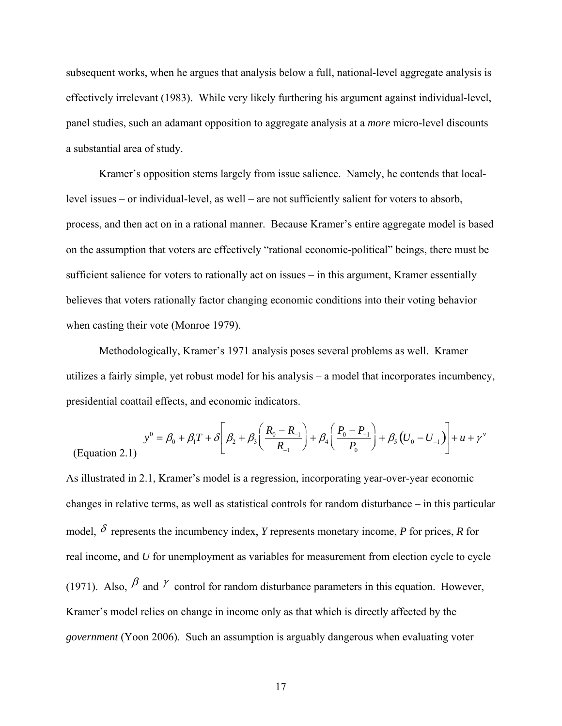subsequent works, when he argues that analysis below a full, national-level aggregate analysis is effectively irrelevant (1983). While very likely furthering his argument against individual-level, panel studies, such an adamant opposition to aggregate analysis at a *more* micro-level discounts a substantial area of study.

 Kramer's opposition stems largely from issue salience. Namely, he contends that locallevel issues – or individual-level, as well – are not sufficiently salient for voters to absorb, process, and then act on in a rational manner. Because Kramer's entire aggregate model is based on the assumption that voters are effectively "rational economic-political" beings, there must be sufficient salience for voters to rationally act on issues – in this argument, Kramer essentially believes that voters rationally factor changing economic conditions into their voting behavior when casting their vote (Monroe 1979).

 Methodologically, Kramer's 1971 analysis poses several problems as well. Kramer utilizes a fairly simple, yet robust model for his analysis – a model that incorporates incumbency, presidential coattail effects, and economic indicators.

$$
y^{0} = \beta_{0} + \beta_{1}T + \delta \left[\beta_{2} + \beta_{3}\left(\frac{R_{0} - R_{-1}}{R_{-1}}\right) + \beta_{4}\left(\frac{P_{0} - P_{-1}}{P_{0}}\right) + \beta_{5}\left(U_{0} - U_{-1}\right)\right] + u + \gamma^{v}
$$
\n(Equation 2.1)

As illustrated in 2.1, Kramer's model is a regression, incorporating year-over-year economic changes in relative terms, as well as statistical controls for random disturbance – in this particular model,  $\delta$  represents the incumbency index, *Y* represents monetary income, *P* for prices, *R* for real income, and *U* for unemployment as variables for measurement from election cycle to cycle (1971). Also,  $\beta$  and  $\gamma$  control for random disturbance parameters in this equation. However, Kramer's model relies on change in income only as that which is directly affected by the *government* (Yoon 2006). Such an assumption is arguably dangerous when evaluating voter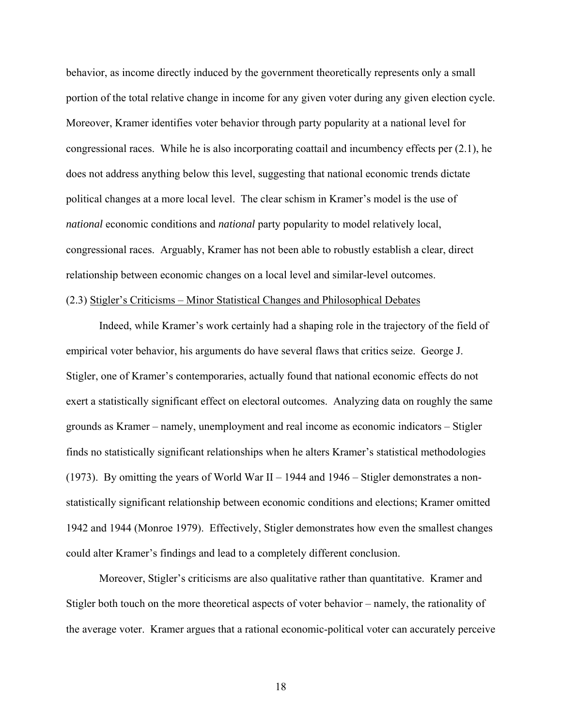behavior, as income directly induced by the government theoretically represents only a small portion of the total relative change in income for any given voter during any given election cycle. Moreover, Kramer identifies voter behavior through party popularity at a national level for congressional races. While he is also incorporating coattail and incumbency effects per (2.1), he does not address anything below this level, suggesting that national economic trends dictate political changes at a more local level. The clear schism in Kramer's model is the use of *national* economic conditions and *national* party popularity to model relatively local, congressional races. Arguably, Kramer has not been able to robustly establish a clear, direct relationship between economic changes on a local level and similar-level outcomes. (2.3) Stigler's Criticisms – Minor Statistical Changes and Philosophical Debates

 Indeed, while Kramer's work certainly had a shaping role in the trajectory of the field of empirical voter behavior, his arguments do have several flaws that critics seize. George J. Stigler, one of Kramer's contemporaries, actually found that national economic effects do not exert a statistically significant effect on electoral outcomes. Analyzing data on roughly the same grounds as Kramer – namely, unemployment and real income as economic indicators – Stigler finds no statistically significant relationships when he alters Kramer's statistical methodologies (1973). By omitting the years of World War II – 1944 and 1946 – Stigler demonstrates a nonstatistically significant relationship between economic conditions and elections; Kramer omitted 1942 and 1944 (Monroe 1979). Effectively, Stigler demonstrates how even the smallest changes could alter Kramer's findings and lead to a completely different conclusion.

 Moreover, Stigler's criticisms are also qualitative rather than quantitative. Kramer and Stigler both touch on the more theoretical aspects of voter behavior – namely, the rationality of the average voter. Kramer argues that a rational economic-political voter can accurately perceive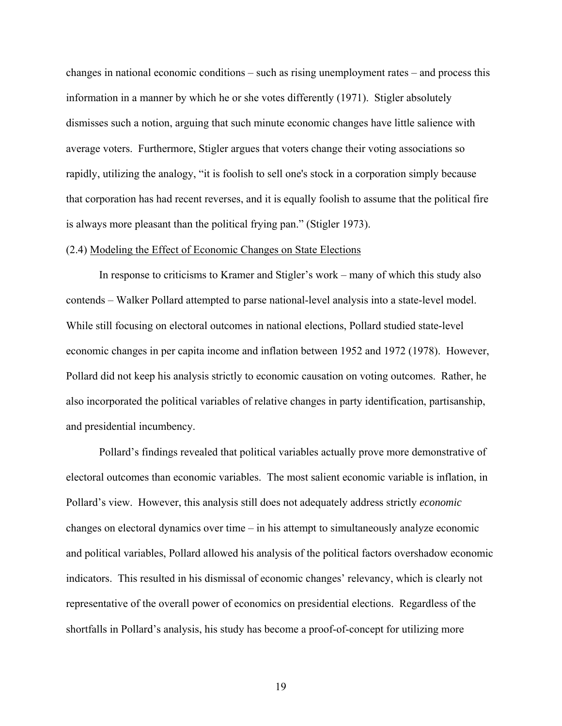changes in national economic conditions – such as rising unemployment rates – and process this information in a manner by which he or she votes differently (1971). Stigler absolutely dismisses such a notion, arguing that such minute economic changes have little salience with average voters. Furthermore, Stigler argues that voters change their voting associations so rapidly, utilizing the analogy, "it is foolish to sell one's stock in a corporation simply because that corporation has had recent reverses, and it is equally foolish to assume that the political fire is always more pleasant than the political frying pan." (Stigler 1973).

#### (2.4) Modeling the Effect of Economic Changes on State Elections

 In response to criticisms to Kramer and Stigler's work – many of which this study also contends – Walker Pollard attempted to parse national-level analysis into a state-level model. While still focusing on electoral outcomes in national elections, Pollard studied state-level economic changes in per capita income and inflation between 1952 and 1972 (1978). However, Pollard did not keep his analysis strictly to economic causation on voting outcomes. Rather, he also incorporated the political variables of relative changes in party identification, partisanship, and presidential incumbency.

 Pollard's findings revealed that political variables actually prove more demonstrative of electoral outcomes than economic variables. The most salient economic variable is inflation, in Pollard's view. However, this analysis still does not adequately address strictly *economic*  changes on electoral dynamics over time – in his attempt to simultaneously analyze economic and political variables, Pollard allowed his analysis of the political factors overshadow economic indicators. This resulted in his dismissal of economic changes' relevancy, which is clearly not representative of the overall power of economics on presidential elections. Regardless of the shortfalls in Pollard's analysis, his study has become a proof-of-concept for utilizing more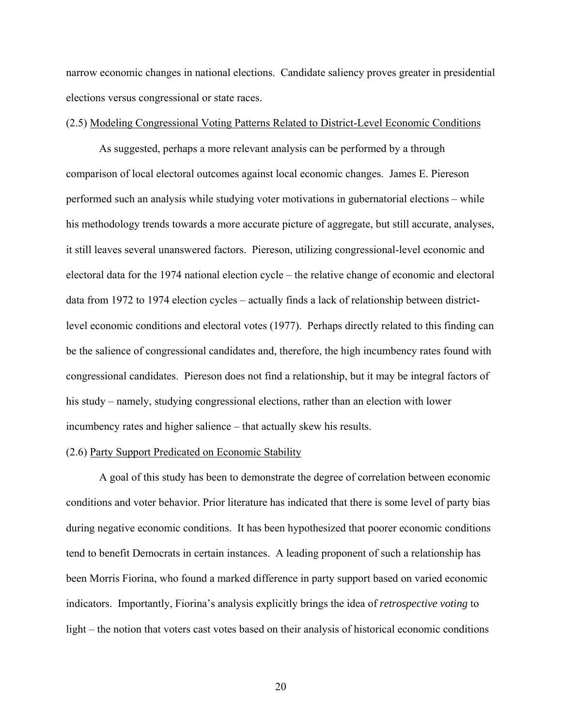narrow economic changes in national elections. Candidate saliency proves greater in presidential elections versus congressional or state races.

## (2.5) Modeling Congressional Voting Patterns Related to District-Level Economic Conditions

 As suggested, perhaps a more relevant analysis can be performed by a through comparison of local electoral outcomes against local economic changes. James E. Piereson performed such an analysis while studying voter motivations in gubernatorial elections – while his methodology trends towards a more accurate picture of aggregate, but still accurate, analyses, it still leaves several unanswered factors. Piereson, utilizing congressional-level economic and electoral data for the 1974 national election cycle – the relative change of economic and electoral data from 1972 to 1974 election cycles – actually finds a lack of relationship between districtlevel economic conditions and electoral votes (1977). Perhaps directly related to this finding can be the salience of congressional candidates and, therefore, the high incumbency rates found with congressional candidates. Piereson does not find a relationship, but it may be integral factors of his study – namely, studying congressional elections, rather than an election with lower incumbency rates and higher salience – that actually skew his results.

#### (2.6) Party Support Predicated on Economic Stability

 A goal of this study has been to demonstrate the degree of correlation between economic conditions and voter behavior. Prior literature has indicated that there is some level of party bias during negative economic conditions. It has been hypothesized that poorer economic conditions tend to benefit Democrats in certain instances. A leading proponent of such a relationship has been Morris Fiorina, who found a marked difference in party support based on varied economic indicators. Importantly, Fiorina's analysis explicitly brings the idea of *retrospective voting* to light – the notion that voters cast votes based on their analysis of historical economic conditions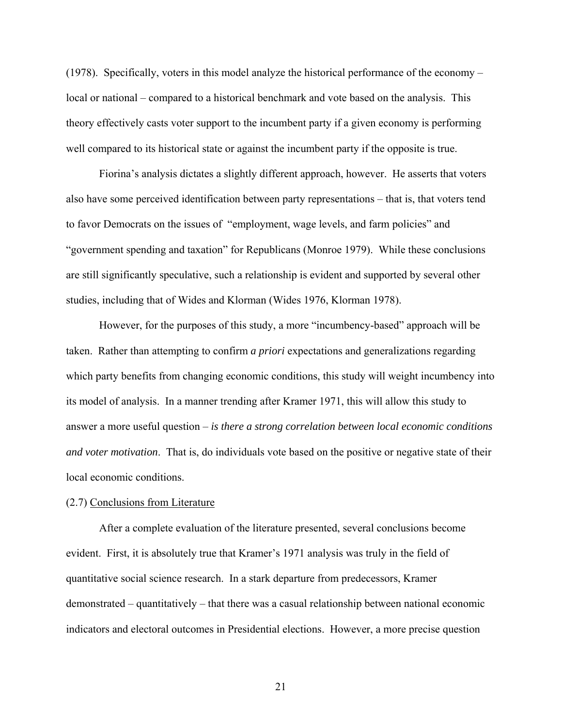(1978). Specifically, voters in this model analyze the historical performance of the economy – local or national – compared to a historical benchmark and vote based on the analysis. This theory effectively casts voter support to the incumbent party if a given economy is performing well compared to its historical state or against the incumbent party if the opposite is true.

 Fiorina's analysis dictates a slightly different approach, however. He asserts that voters also have some perceived identification between party representations – that is, that voters tend to favor Democrats on the issues of "employment, wage levels, and farm policies" and "government spending and taxation" for Republicans (Monroe 1979). While these conclusions are still significantly speculative, such a relationship is evident and supported by several other studies, including that of Wides and Klorman (Wides 1976, Klorman 1978).

 However, for the purposes of this study, a more "incumbency-based" approach will be taken. Rather than attempting to confirm *a priori* expectations and generalizations regarding which party benefits from changing economic conditions, this study will weight incumbency into its model of analysis. In a manner trending after Kramer 1971, this will allow this study to answer a more useful question – *is there a strong correlation between local economic conditions and voter motivation*. That is, do individuals vote based on the positive or negative state of their local economic conditions.

### (2.7) Conclusions from Literature

 After a complete evaluation of the literature presented, several conclusions become evident. First, it is absolutely true that Kramer's 1971 analysis was truly in the field of quantitative social science research. In a stark departure from predecessors, Kramer demonstrated – quantitatively – that there was a casual relationship between national economic indicators and electoral outcomes in Presidential elections. However, a more precise question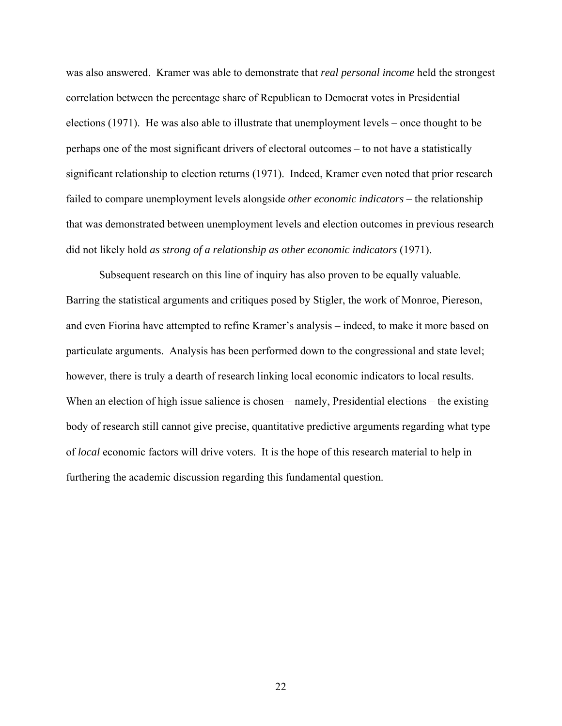was also answered. Kramer was able to demonstrate that *real personal income* held the strongest correlation between the percentage share of Republican to Democrat votes in Presidential elections (1971). He was also able to illustrate that unemployment levels – once thought to be perhaps one of the most significant drivers of electoral outcomes – to not have a statistically significant relationship to election returns (1971). Indeed, Kramer even noted that prior research failed to compare unemployment levels alongside *other economic indicators* – the relationship that was demonstrated between unemployment levels and election outcomes in previous research did not likely hold *as strong of a relationship as other economic indicators* (1971).

 Subsequent research on this line of inquiry has also proven to be equally valuable. Barring the statistical arguments and critiques posed by Stigler, the work of Monroe, Piereson, and even Fiorina have attempted to refine Kramer's analysis – indeed, to make it more based on particulate arguments. Analysis has been performed down to the congressional and state level; however, there is truly a dearth of research linking local economic indicators to local results. When an election of high issue salience is chosen – namely, Presidential elections – the existing body of research still cannot give precise, quantitative predictive arguments regarding what type of *local* economic factors will drive voters. It is the hope of this research material to help in furthering the academic discussion regarding this fundamental question.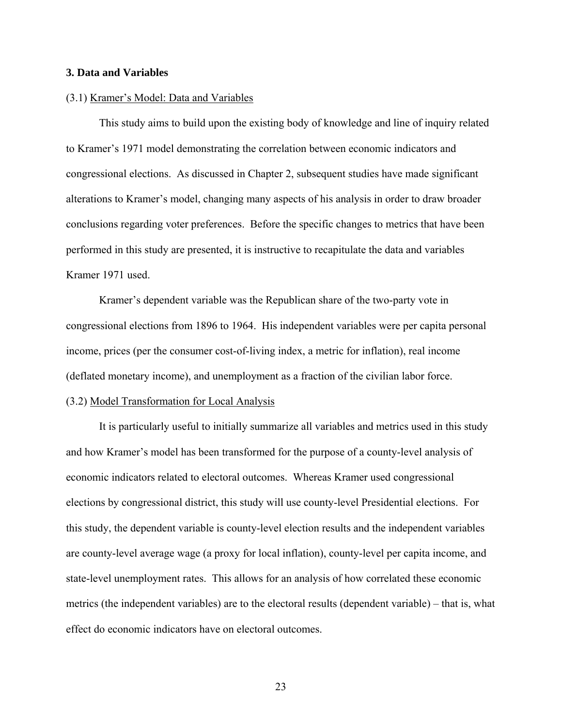### **3. Data and Variables**

#### (3.1) Kramer's Model: Data and Variables

 This study aims to build upon the existing body of knowledge and line of inquiry related to Kramer's 1971 model demonstrating the correlation between economic indicators and congressional elections. As discussed in Chapter 2, subsequent studies have made significant alterations to Kramer's model, changing many aspects of his analysis in order to draw broader conclusions regarding voter preferences. Before the specific changes to metrics that have been performed in this study are presented, it is instructive to recapitulate the data and variables Kramer 1971 used.

 Kramer's dependent variable was the Republican share of the two-party vote in congressional elections from 1896 to 1964. His independent variables were per capita personal income, prices (per the consumer cost-of-living index, a metric for inflation), real income (deflated monetary income), and unemployment as a fraction of the civilian labor force.

#### (3.2) Model Transformation for Local Analysis

 It is particularly useful to initially summarize all variables and metrics used in this study and how Kramer's model has been transformed for the purpose of a county-level analysis of economic indicators related to electoral outcomes. Whereas Kramer used congressional elections by congressional district, this study will use county-level Presidential elections. For this study, the dependent variable is county-level election results and the independent variables are county-level average wage (a proxy for local inflation), county-level per capita income, and state-level unemployment rates. This allows for an analysis of how correlated these economic metrics (the independent variables) are to the electoral results (dependent variable) – that is, what effect do economic indicators have on electoral outcomes.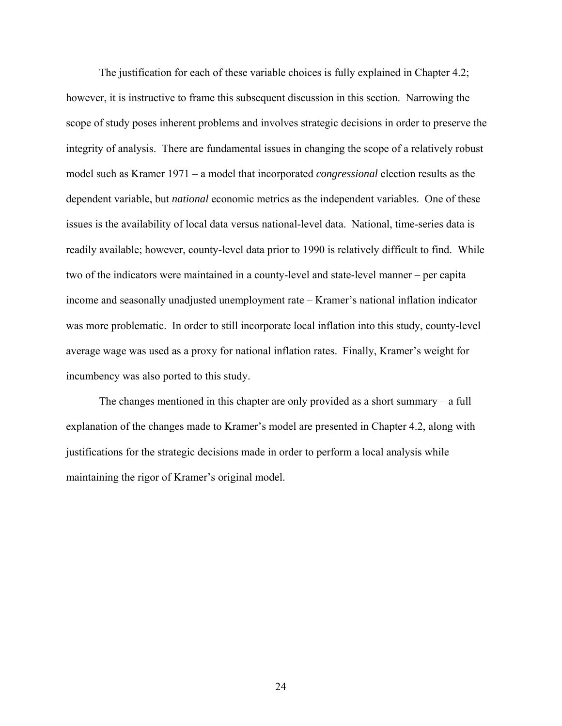The justification for each of these variable choices is fully explained in Chapter 4.2; however, it is instructive to frame this subsequent discussion in this section. Narrowing the scope of study poses inherent problems and involves strategic decisions in order to preserve the integrity of analysis. There are fundamental issues in changing the scope of a relatively robust model such as Kramer 1971 – a model that incorporated *congressional* election results as the dependent variable, but *national* economic metrics as the independent variables. One of these issues is the availability of local data versus national-level data. National, time-series data is readily available; however, county-level data prior to 1990 is relatively difficult to find. While two of the indicators were maintained in a county-level and state-level manner – per capita income and seasonally unadjusted unemployment rate – Kramer's national inflation indicator was more problematic. In order to still incorporate local inflation into this study, county-level average wage was used as a proxy for national inflation rates. Finally, Kramer's weight for incumbency was also ported to this study.

The changes mentioned in this chapter are only provided as a short summary – a full explanation of the changes made to Kramer's model are presented in Chapter 4.2, along with justifications for the strategic decisions made in order to perform a local analysis while maintaining the rigor of Kramer's original model.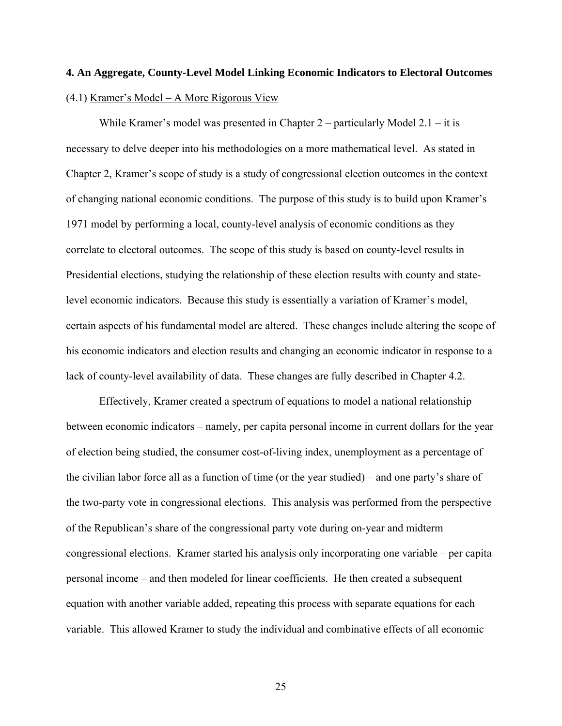## **4. An Aggregate, County-Level Model Linking Economic Indicators to Electoral Outcomes** (4.1) Kramer's Model – A More Rigorous View

 While Kramer's model was presented in Chapter 2 – particularly Model 2.1 – it is necessary to delve deeper into his methodologies on a more mathematical level. As stated in Chapter 2, Kramer's scope of study is a study of congressional election outcomes in the context of changing national economic conditions. The purpose of this study is to build upon Kramer's 1971 model by performing a local, county-level analysis of economic conditions as they correlate to electoral outcomes. The scope of this study is based on county-level results in Presidential elections, studying the relationship of these election results with county and statelevel economic indicators. Because this study is essentially a variation of Kramer's model, certain aspects of his fundamental model are altered. These changes include altering the scope of his economic indicators and election results and changing an economic indicator in response to a lack of county-level availability of data. These changes are fully described in Chapter 4.2.

Effectively, Kramer created a spectrum of equations to model a national relationship between economic indicators – namely, per capita personal income in current dollars for the year of election being studied, the consumer cost-of-living index, unemployment as a percentage of the civilian labor force all as a function of time (or the year studied) – and one party's share of the two-party vote in congressional elections. This analysis was performed from the perspective of the Republican's share of the congressional party vote during on-year and midterm congressional elections. Kramer started his analysis only incorporating one variable – per capita personal income – and then modeled for linear coefficients. He then created a subsequent equation with another variable added, repeating this process with separate equations for each variable. This allowed Kramer to study the individual and combinative effects of all economic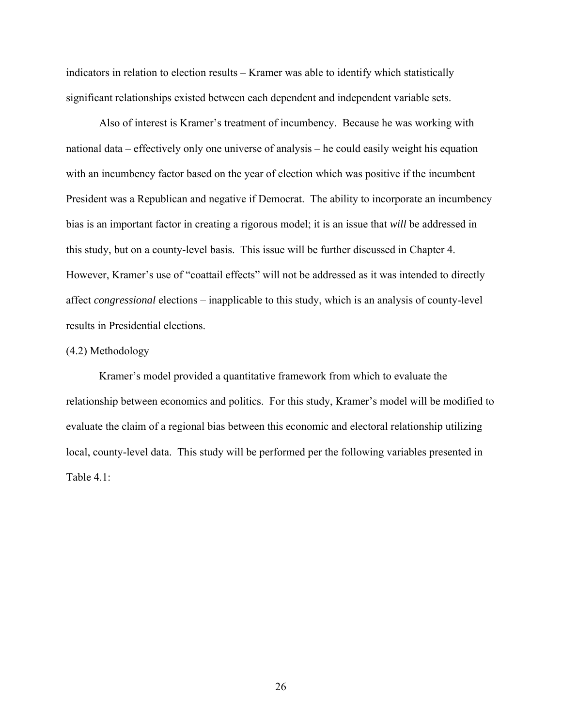indicators in relation to election results – Kramer was able to identify which statistically significant relationships existed between each dependent and independent variable sets.

Also of interest is Kramer's treatment of incumbency. Because he was working with national data – effectively only one universe of analysis – he could easily weight his equation with an incumbency factor based on the year of election which was positive if the incumbent President was a Republican and negative if Democrat. The ability to incorporate an incumbency bias is an important factor in creating a rigorous model; it is an issue that *will* be addressed in this study, but on a county-level basis. This issue will be further discussed in Chapter 4. However, Kramer's use of "coattail effects" will not be addressed as it was intended to directly affect *congressional* elections – inapplicable to this study, which is an analysis of county-level results in Presidential elections.

#### $(4.2)$  Methodology

Kramer's model provided a quantitative framework from which to evaluate the relationship between economics and politics. For this study, Kramer's model will be modified to evaluate the claim of a regional bias between this economic and electoral relationship utilizing local, county-level data. This study will be performed per the following variables presented in Table 4.1: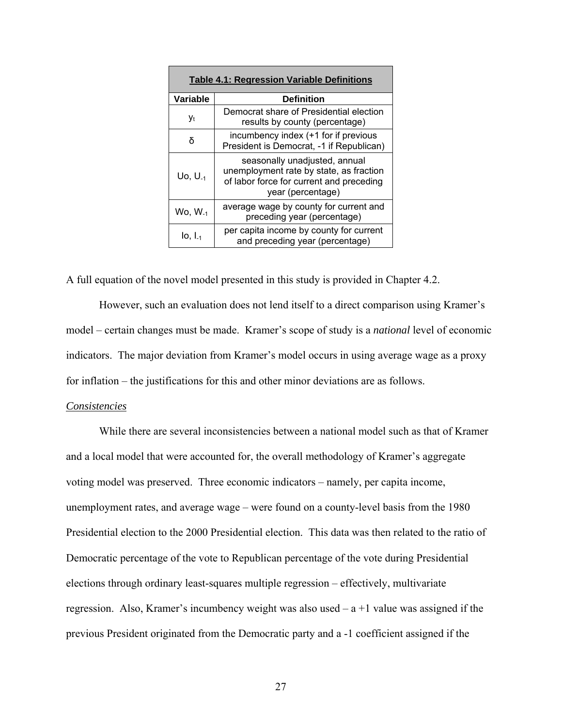| <b>Table 4.1: Regression Variable Definitions</b> |                                                                                                                                           |
|---------------------------------------------------|-------------------------------------------------------------------------------------------------------------------------------------------|
| Variable                                          | <b>Definition</b>                                                                                                                         |
| Уt                                                | Democrat share of Presidential election<br>results by county (percentage)                                                                 |
| δ                                                 | incumbency index (+1 for if previous<br>President is Democrat, -1 if Republican)                                                          |
| $U_0, U_{-1}$                                     | seasonally unadjusted, annual<br>unemployment rate by state, as fraction<br>of labor force for current and preceding<br>year (percentage) |
| $Wo, W_{-1}$                                      | average wage by county for current and<br>preceding year (percentage)                                                                     |
| $I_0$ , $I_{-1}$                                  | per capita income by county for current<br>and preceding year (percentage)                                                                |

A full equation of the novel model presented in this study is provided in Chapter 4.2.

However, such an evaluation does not lend itself to a direct comparison using Kramer's model – certain changes must be made. Kramer's scope of study is a *national* level of economic indicators. The major deviation from Kramer's model occurs in using average wage as a proxy for inflation – the justifications for this and other minor deviations are as follows.

#### *Consistencies*

While there are several inconsistencies between a national model such as that of Kramer and a local model that were accounted for, the overall methodology of Kramer's aggregate voting model was preserved. Three economic indicators – namely, per capita income, unemployment rates, and average wage – were found on a county-level basis from the 1980 Presidential election to the 2000 Presidential election. This data was then related to the ratio of Democratic percentage of the vote to Republican percentage of the vote during Presidential elections through ordinary least-squares multiple regression – effectively, multivariate regression. Also, Kramer's incumbency weight was also used  $- a + 1$  value was assigned if the previous President originated from the Democratic party and a -1 coefficient assigned if the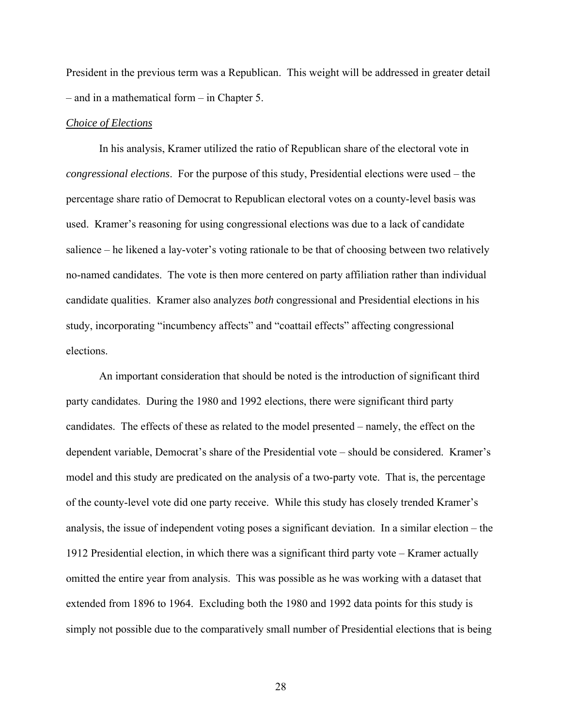President in the previous term was a Republican. This weight will be addressed in greater detail – and in a mathematical form – in Chapter 5.

### *Choice of Elections*

 In his analysis, Kramer utilized the ratio of Republican share of the electoral vote in *congressional elections*. For the purpose of this study, Presidential elections were used – the percentage share ratio of Democrat to Republican electoral votes on a county-level basis was used. Kramer's reasoning for using congressional elections was due to a lack of candidate salience – he likened a lay-voter's voting rationale to be that of choosing between two relatively no-named candidates. The vote is then more centered on party affiliation rather than individual candidate qualities. Kramer also analyzes *both* congressional and Presidential elections in his study, incorporating "incumbency affects" and "coattail effects" affecting congressional elections.

 An important consideration that should be noted is the introduction of significant third party candidates. During the 1980 and 1992 elections, there were significant third party candidates. The effects of these as related to the model presented – namely, the effect on the dependent variable, Democrat's share of the Presidential vote – should be considered. Kramer's model and this study are predicated on the analysis of a two-party vote. That is, the percentage of the county-level vote did one party receive. While this study has closely trended Kramer's analysis, the issue of independent voting poses a significant deviation. In a similar election – the 1912 Presidential election, in which there was a significant third party vote – Kramer actually omitted the entire year from analysis. This was possible as he was working with a dataset that extended from 1896 to 1964. Excluding both the 1980 and 1992 data points for this study is simply not possible due to the comparatively small number of Presidential elections that is being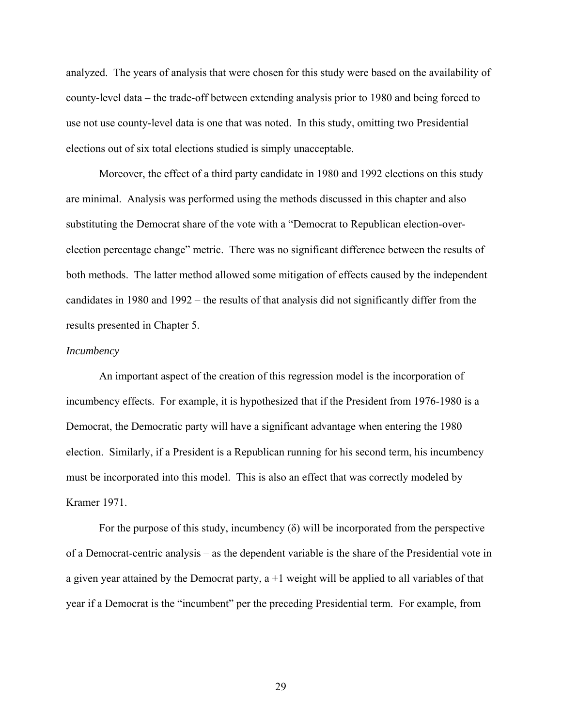analyzed. The years of analysis that were chosen for this study were based on the availability of county-level data – the trade-off between extending analysis prior to 1980 and being forced to use not use county-level data is one that was noted. In this study, omitting two Presidential elections out of six total elections studied is simply unacceptable.

 Moreover, the effect of a third party candidate in 1980 and 1992 elections on this study are minimal. Analysis was performed using the methods discussed in this chapter and also substituting the Democrat share of the vote with a "Democrat to Republican election-overelection percentage change" metric. There was no significant difference between the results of both methods. The latter method allowed some mitigation of effects caused by the independent candidates in 1980 and 1992 – the results of that analysis did not significantly differ from the results presented in Chapter 5.

### *Incumbency*

 An important aspect of the creation of this regression model is the incorporation of incumbency effects. For example, it is hypothesized that if the President from 1976-1980 is a Democrat, the Democratic party will have a significant advantage when entering the 1980 election. Similarly, if a President is a Republican running for his second term, his incumbency must be incorporated into this model. This is also an effect that was correctly modeled by Kramer 1971.

For the purpose of this study, incumbency  $(\delta)$  will be incorporated from the perspective of a Democrat-centric analysis – as the dependent variable is the share of the Presidential vote in a given year attained by the Democrat party,  $a + 1$  weight will be applied to all variables of that year if a Democrat is the "incumbent" per the preceding Presidential term. For example, from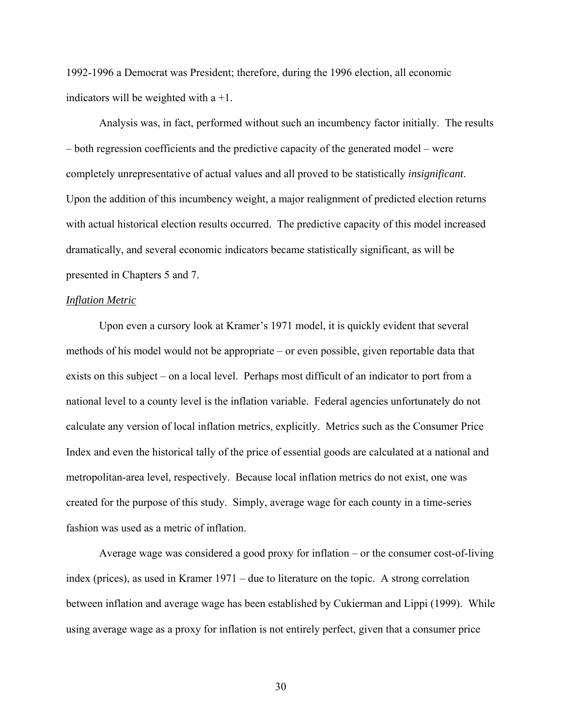1992-1996 a Democrat was President; therefore, during the 1996 election, all economic indicators will be weighted with  $a + 1$ .

 Analysis was, in fact, performed without such an incumbency factor initially. The results – both regression coefficients and the predictive capacity of the generated model – were completely unrepresentative of actual values and all proved to be statistically *insignificant*. Upon the addition of this incumbency weight, a major realignment of predicted election returns with actual historical election results occurred. The predictive capacity of this model increased dramatically, and several economic indicators became statistically significant, as will be presented in Chapters 5 and 7.

#### *Inflation Metric*

Upon even a cursory look at Kramer's 1971 model, it is quickly evident that several methods of his model would not be appropriate – or even possible, given reportable data that exists on this subject – on a local level. Perhaps most difficult of an indicator to port from a national level to a county level is the inflation variable. Federal agencies unfortunately do not calculate any version of local inflation metrics, explicitly. Metrics such as the Consumer Price Index and even the historical tally of the price of essential goods are calculated at a national and metropolitan-area level, respectively. Because local inflation metrics do not exist, one was created for the purpose of this study. Simply, average wage for each county in a time-series fashion was used as a metric of inflation.

Average wage was considered a good proxy for inflation – or the consumer cost-of-living index (prices), as used in Kramer 1971 – due to literature on the topic. A strong correlation between inflation and average wage has been established by Cukierman and Lippi (1999). While using average wage as a proxy for inflation is not entirely perfect, given that a consumer price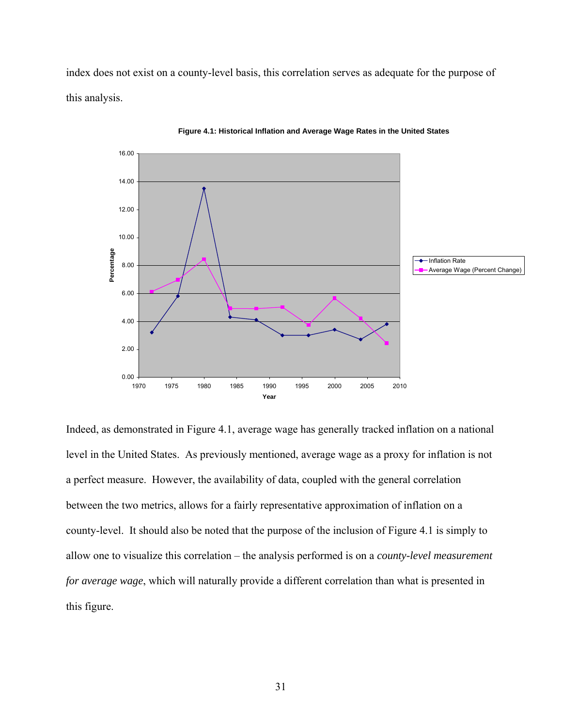index does not exist on a county-level basis, this correlation serves as adequate for the purpose of this analysis.



**Figure 4.1: Historical Inflation and Average Wage Rates in the United States**

Indeed, as demonstrated in Figure 4.1, average wage has generally tracked inflation on a national level in the United States. As previously mentioned, average wage as a proxy for inflation is not a perfect measure. However, the availability of data, coupled with the general correlation between the two metrics, allows for a fairly representative approximation of inflation on a county-level. It should also be noted that the purpose of the inclusion of Figure 4.1 is simply to allow one to visualize this correlation – the analysis performed is on a *county-level measurement for average wage*, which will naturally provide a different correlation than what is presented in this figure.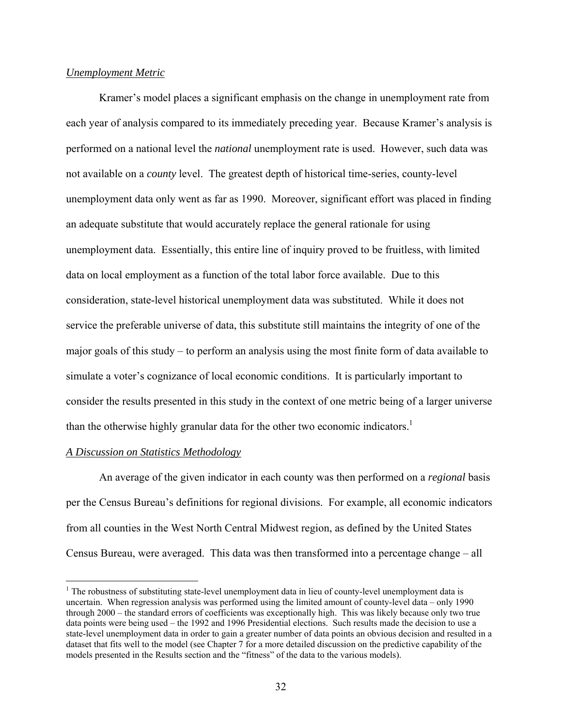## *Unemployment Metric*

Kramer's model places a significant emphasis on the change in unemployment rate from each year of analysis compared to its immediately preceding year. Because Kramer's analysis is performed on a national level the *national* unemployment rate is used. However, such data was not available on a *county* level. The greatest depth of historical time-series, county-level unemployment data only went as far as 1990. Moreover, significant effort was placed in finding an adequate substitute that would accurately replace the general rationale for using unemployment data. Essentially, this entire line of inquiry proved to be fruitless, with limited data on local employment as a function of the total labor force available. Due to this consideration, state-level historical unemployment data was substituted. While it does not service the preferable universe of data, this substitute still maintains the integrity of one of the major goals of this study – to perform an analysis using the most finite form of data available to simulate a voter's cognizance of local economic conditions. It is particularly important to consider the results presented in this study in the context of one metric being of a larger universe than the otherwise highly granular data for the other two economic indicators.<sup>1</sup>

## *A Discussion on Statistics Methodology*

<u>.</u>

An average of the given indicator in each county was then performed on a *regional* basis per the Census Bureau's definitions for regional divisions. For example, all economic indicators from all counties in the West North Central Midwest region, as defined by the United States Census Bureau, were averaged. This data was then transformed into a percentage change – all

 $1$  The robustness of substituting state-level unemployment data in lieu of county-level unemployment data is uncertain. When regression analysis was performed using the limited amount of county-level data – only 1990 through 2000 – the standard errors of coefficients was exceptionally high. This was likely because only two true data points were being used – the 1992 and 1996 Presidential elections. Such results made the decision to use a state-level unemployment data in order to gain a greater number of data points an obvious decision and resulted in a dataset that fits well to the model (see Chapter 7 for a more detailed discussion on the predictive capability of the models presented in the Results section and the "fitness" of the data to the various models).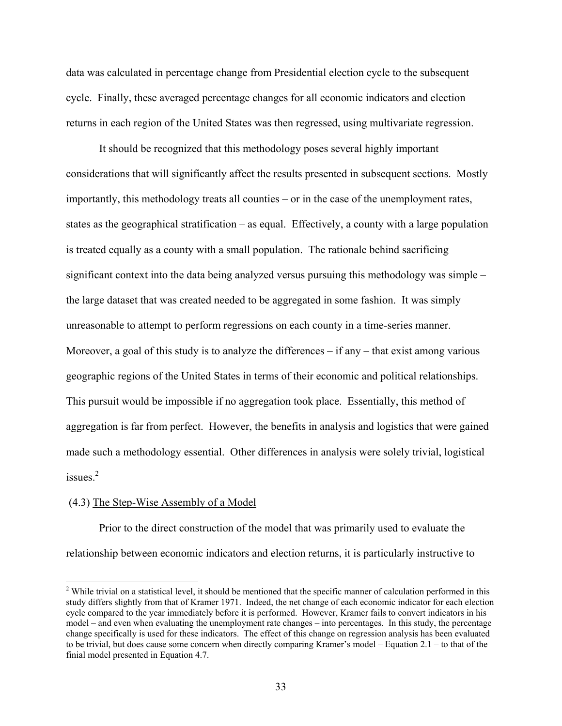data was calculated in percentage change from Presidential election cycle to the subsequent cycle. Finally, these averaged percentage changes for all economic indicators and election returns in each region of the United States was then regressed, using multivariate regression.

It should be recognized that this methodology poses several highly important considerations that will significantly affect the results presented in subsequent sections. Mostly importantly, this methodology treats all counties – or in the case of the unemployment rates, states as the geographical stratification – as equal. Effectively, a county with a large population is treated equally as a county with a small population. The rationale behind sacrificing significant context into the data being analyzed versus pursuing this methodology was simple – the large dataset that was created needed to be aggregated in some fashion. It was simply unreasonable to attempt to perform regressions on each county in a time-series manner. Moreover, a goal of this study is to analyze the differences  $-$  if any  $-$  that exist among various geographic regions of the United States in terms of their economic and political relationships. This pursuit would be impossible if no aggregation took place. Essentially, this method of aggregation is far from perfect. However, the benefits in analysis and logistics that were gained made such a methodology essential. Other differences in analysis were solely trivial, logistical issues $^2$ 

#### (4.3) The Step-Wise Assembly of a Model

 $\overline{a}$ 

 Prior to the direct construction of the model that was primarily used to evaluate the relationship between economic indicators and election returns, it is particularly instructive to

 $2$  While trivial on a statistical level, it should be mentioned that the specific manner of calculation performed in this study differs slightly from that of Kramer 1971. Indeed, the net change of each economic indicator for each election cycle compared to the year immediately before it is performed. However, Kramer fails to convert indicators in his model – and even when evaluating the unemployment rate changes – into percentages. In this study, the percentage change specifically is used for these indicators. The effect of this change on regression analysis has been evaluated to be trivial, but does cause some concern when directly comparing Kramer's model – Equation 2.1 – to that of the finial model presented in Equation 4.7.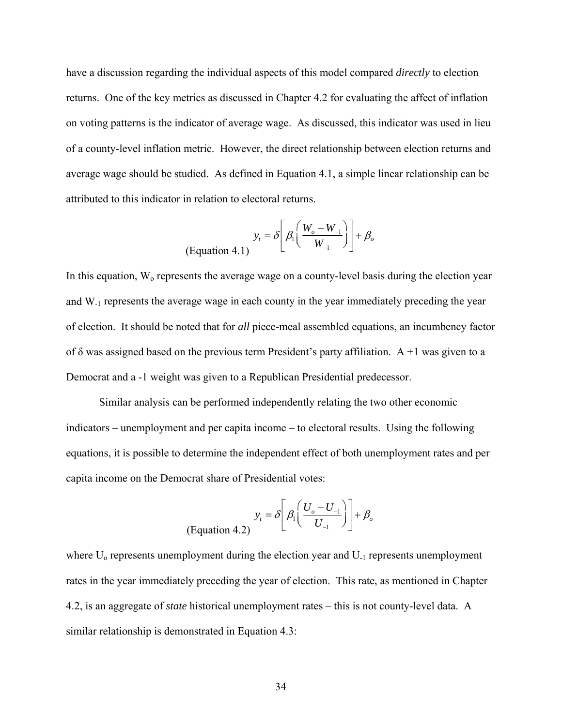have a discussion regarding the individual aspects of this model compared *directly* to election returns. One of the key metrics as discussed in Chapter 4.2 for evaluating the affect of inflation on voting patterns is the indicator of average wage. As discussed, this indicator was used in lieu of a county-level inflation metric. However, the direct relationship between election returns and average wage should be studied. As defined in Equation 4.1, a simple linear relationship can be attributed to this indicator in relation to electoral returns.

$$
y_t = \delta \left[ \beta_1 \left( \frac{W_o - W_{-1}}{W_{-1}} \right) \right] + \beta_o
$$
\n(Equation 4.1)

In this equation,  $W_0$  represents the average wage on a county-level basis during the election year and W-1 represents the average wage in each county in the year immediately preceding the year of election. It should be noted that for *all* piece-meal assembled equations, an incumbency factor of  $\delta$  was assigned based on the previous term President's party affiliation. A +1 was given to a Democrat and a -1 weight was given to a Republican Presidential predecessor.

Similar analysis can be performed independently relating the two other economic indicators – unemployment and per capita income – to electoral results. Using the following equations, it is possible to determine the independent effect of both unemployment rates and per capita income on the Democrat share of Presidential votes:

$$
y_t = \delta \left[ \beta_1 \left( \frac{U_o - U_{-1}}{U_{-1}} \right) \right] + \beta_o
$$
\n(Equation 4.2)

where  $U_0$  represents unemployment during the election year and  $U_1$  represents unemployment rates in the year immediately preceding the year of election. This rate, as mentioned in Chapter 4.2, is an aggregate of *state* historical unemployment rates – this is not county-level data. A similar relationship is demonstrated in Equation 4.3: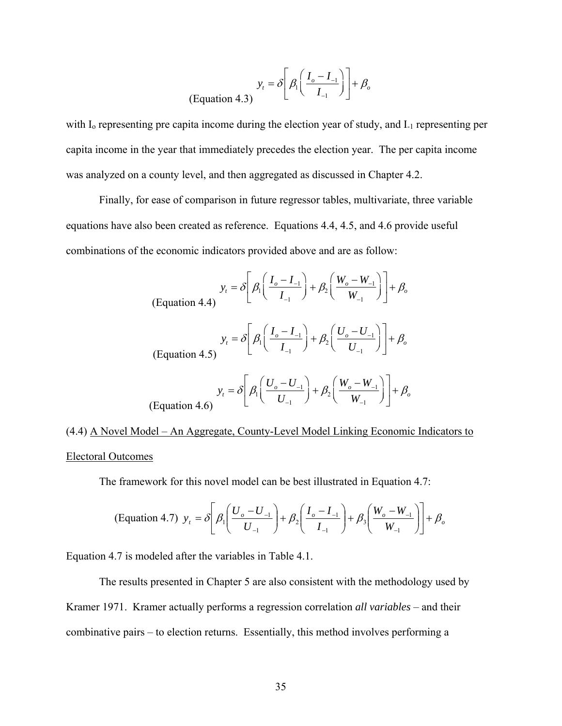$$
y_t = \delta \left[ \beta_1 \left( \frac{I_o - I_{-1}}{I_{-1}} \right) \right] + \beta_o
$$
\n(Equation 4.3)

with I<sub>0</sub> representing pre capita income during the election year of study, and I<sub>-1</sub> representing per capita income in the year that immediately precedes the election year. The per capita income was analyzed on a county level, and then aggregated as discussed in Chapter 4.2.

 Finally, for ease of comparison in future regressor tables, multivariate, three variable equations have also been created as reference. Equations 4.4, 4.5, and 4.6 provide useful combinations of the economic indicators provided above and are as follow:

$$
y_{t} = \delta \left[ \beta_{1} \left( \frac{I_{o} - I_{-1}}{I_{-1}} \right) + \beta_{2} \left( \frac{W_{o} - W_{-1}}{W_{-1}} \right) \right] + \beta_{o}
$$
\n(Equation 4.4)

\n
$$
y_{t} = \delta \left[ \beta_{1} \left( \frac{I_{o} - I_{-1}}{I_{-1}} \right) + \beta_{2} \left( \frac{U_{o} - U_{-1}}{U_{-1}} \right) \right] + \beta_{o}
$$
\n
$$
y_{t} = \delta \left[ \beta_{1} \left( \frac{U_{o} - U_{-1}}{U_{-1}} \right) + \beta_{2} \left( \frac{W_{o} - W_{-1}}{W_{-1}} \right) \right] + \beta_{o}
$$
\n(Equation 4.6)

(4.4) A Novel Model – An Aggregate, County-Level Model Linking Economic Indicators to Electoral Outcomes

The framework for this novel model can be best illustrated in Equation 4.7:

(Equation 4.7) 
$$
y_t = \delta \left[ \beta_1 \left( \frac{U_o - U_{-1}}{U_{-1}} \right) + \beta_2 \left( \frac{I_o - I_{-1}}{I_{-1}} \right) + \beta_3 \left( \frac{W_o - W_{-1}}{W_{-1}} \right) \right] + \beta_o
$$

Equation 4.7 is modeled after the variables in Table 4.1.

The results presented in Chapter 5 are also consistent with the methodology used by Kramer 1971. Kramer actually performs a regression correlation *all variables* – and their combinative pairs – to election returns. Essentially, this method involves performing a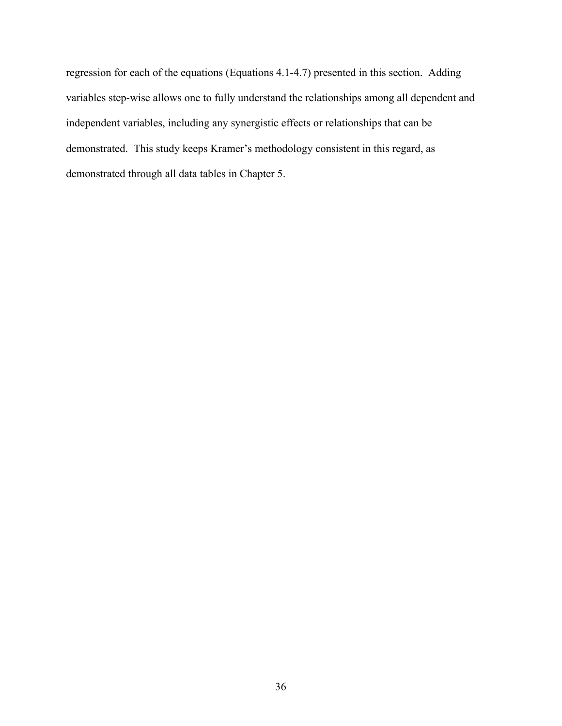regression for each of the equations (Equations 4.1-4.7) presented in this section. Adding variables step-wise allows one to fully understand the relationships among all dependent and independent variables, including any synergistic effects or relationships that can be demonstrated. This study keeps Kramer's methodology consistent in this regard, as demonstrated through all data tables in Chapter 5.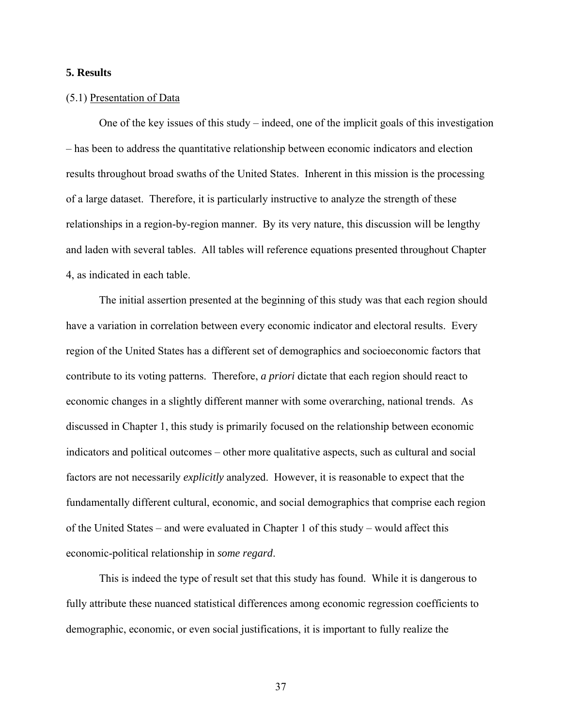# **5. Results**

# (5.1) Presentation of Data

 One of the key issues of this study – indeed, one of the implicit goals of this investigation – has been to address the quantitative relationship between economic indicators and election results throughout broad swaths of the United States. Inherent in this mission is the processing of a large dataset. Therefore, it is particularly instructive to analyze the strength of these relationships in a region-by-region manner. By its very nature, this discussion will be lengthy and laden with several tables. All tables will reference equations presented throughout Chapter 4, as indicated in each table.

The initial assertion presented at the beginning of this study was that each region should have a variation in correlation between every economic indicator and electoral results. Every region of the United States has a different set of demographics and socioeconomic factors that contribute to its voting patterns. Therefore, *a priori* dictate that each region should react to economic changes in a slightly different manner with some overarching, national trends. As discussed in Chapter 1, this study is primarily focused on the relationship between economic indicators and political outcomes – other more qualitative aspects, such as cultural and social factors are not necessarily *explicitly* analyzed. However, it is reasonable to expect that the fundamentally different cultural, economic, and social demographics that comprise each region of the United States – and were evaluated in Chapter 1 of this study – would affect this economic-political relationship in *some regard*.

This is indeed the type of result set that this study has found. While it is dangerous to fully attribute these nuanced statistical differences among economic regression coefficients to demographic, economic, or even social justifications, it is important to fully realize the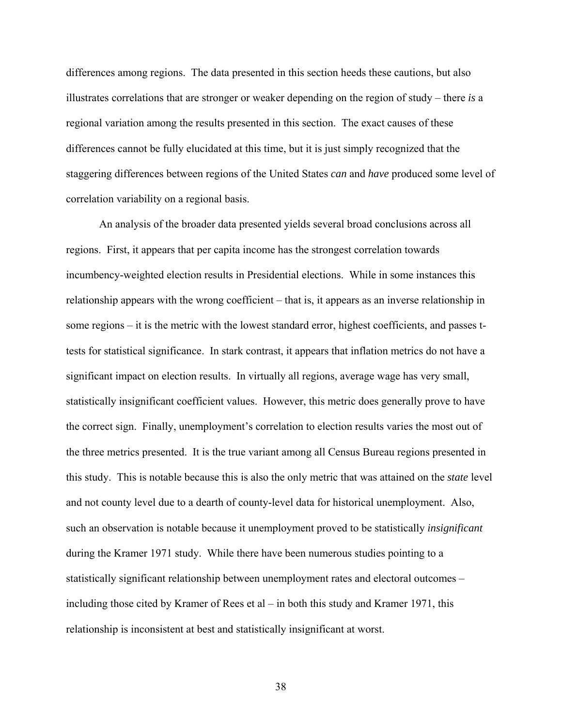differences among regions. The data presented in this section heeds these cautions, but also illustrates correlations that are stronger or weaker depending on the region of study – there *is* a regional variation among the results presented in this section. The exact causes of these differences cannot be fully elucidated at this time, but it is just simply recognized that the staggering differences between regions of the United States *can* and *have* produced some level of correlation variability on a regional basis.

 An analysis of the broader data presented yields several broad conclusions across all regions. First, it appears that per capita income has the strongest correlation towards incumbency-weighted election results in Presidential elections. While in some instances this relationship appears with the wrong coefficient – that is, it appears as an inverse relationship in some regions – it is the metric with the lowest standard error, highest coefficients, and passes ttests for statistical significance. In stark contrast, it appears that inflation metrics do not have a significant impact on election results. In virtually all regions, average wage has very small, statistically insignificant coefficient values. However, this metric does generally prove to have the correct sign. Finally, unemployment's correlation to election results varies the most out of the three metrics presented. It is the true variant among all Census Bureau regions presented in this study. This is notable because this is also the only metric that was attained on the *state* level and not county level due to a dearth of county-level data for historical unemployment. Also, such an observation is notable because it unemployment proved to be statistically *insignificant* during the Kramer 1971 study. While there have been numerous studies pointing to a statistically significant relationship between unemployment rates and electoral outcomes – including those cited by Kramer of Rees et al – in both this study and Kramer 1971, this relationship is inconsistent at best and statistically insignificant at worst.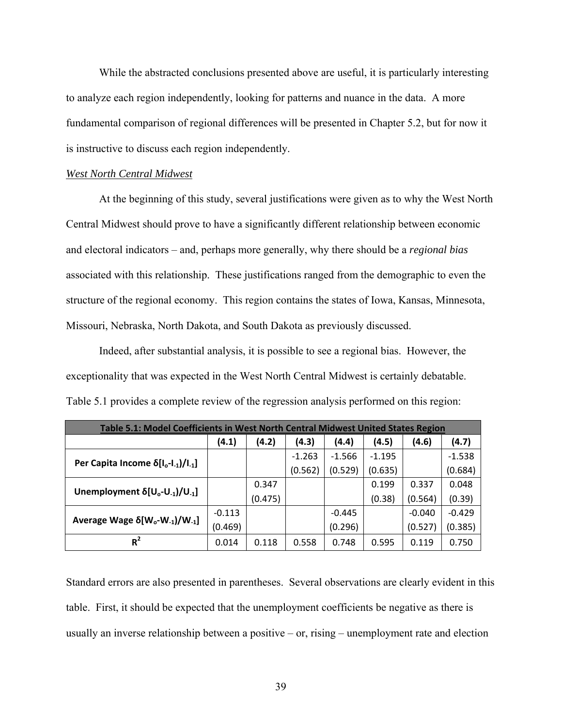While the abstracted conclusions presented above are useful, it is particularly interesting to analyze each region independently, looking for patterns and nuance in the data. A more fundamental comparison of regional differences will be presented in Chapter 5.2, but for now it is instructive to discuss each region independently.

# *West North Central Midwest*

 At the beginning of this study, several justifications were given as to why the West North Central Midwest should prove to have a significantly different relationship between economic and electoral indicators – and, perhaps more generally, why there should be a *regional bias* associated with this relationship. These justifications ranged from the demographic to even the structure of the regional economy. This region contains the states of Iowa, Kansas, Minnesota, Missouri, Nebraska, North Dakota, and South Dakota as previously discussed.

 Indeed, after substantial analysis, it is possible to see a regional bias. However, the exceptionality that was expected in the West North Central Midwest is certainly debatable. Table 5.1 provides a complete review of the regression analysis performed on this region:

| <b>Table 5.1: Model Coefficients in West North Central Midwest United States Region</b> |          |         |          |          |          |          |          |  |
|-----------------------------------------------------------------------------------------|----------|---------|----------|----------|----------|----------|----------|--|
|                                                                                         | (4.1)    | (4.2)   | (4.3)    | (4.4)    | (4.5)    | (4.6)    | (4.7)    |  |
|                                                                                         |          |         | $-1.263$ | $-1.566$ | $-1.195$ |          | $-1.538$ |  |
| Per Capita Income $\delta[I_o-I_{-1})/I_{-1}]$                                          |          |         | (0.562)  | (0.529)  | (0.635)  |          | (0.684)  |  |
|                                                                                         |          | 0.347   |          |          | 0.199    | 0.337    | 0.048    |  |
| Unemployment $\delta[U_0-U_{-1}]/U_{-1}$                                                |          | (0.475) |          |          | (0.38)   | (0.564)  | (0.39)   |  |
|                                                                                         | $-0.113$ |         |          | $-0.445$ |          | $-0.040$ | $-0.429$ |  |
| Average Wage $\delta$ [W <sub>o</sub> -W <sub>-1</sub> ]/W <sub>-1</sub> ]              | (0.469)  |         |          | (0.296)  |          | (0.527)  | (0.385)  |  |
| $R^2$                                                                                   | 0.014    | 0.118   | 0.558    | 0.748    | 0.595    | 0.119    | 0.750    |  |

Standard errors are also presented in parentheses. Several observations are clearly evident in this table. First, it should be expected that the unemployment coefficients be negative as there is usually an inverse relationship between a positive – or, rising – unemployment rate and election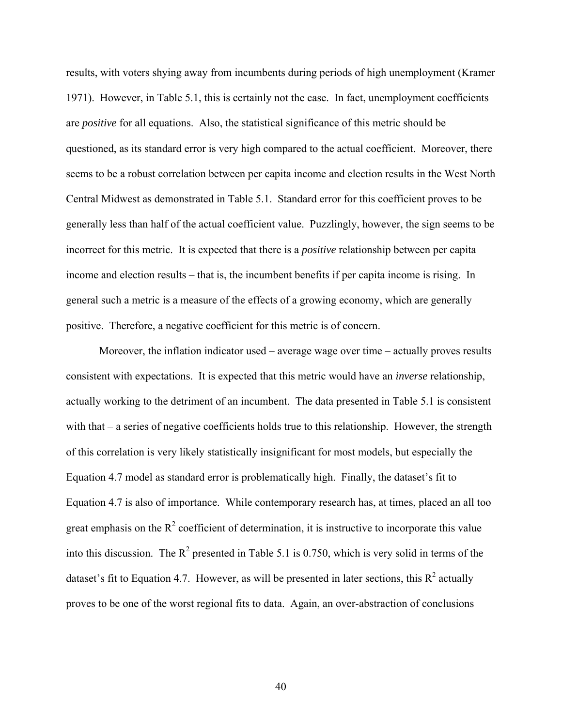results, with voters shying away from incumbents during periods of high unemployment (Kramer 1971). However, in Table 5.1, this is certainly not the case. In fact, unemployment coefficients are *positive* for all equations. Also, the statistical significance of this metric should be questioned, as its standard error is very high compared to the actual coefficient. Moreover, there seems to be a robust correlation between per capita income and election results in the West North Central Midwest as demonstrated in Table 5.1. Standard error for this coefficient proves to be generally less than half of the actual coefficient value. Puzzlingly, however, the sign seems to be incorrect for this metric. It is expected that there is a *positive* relationship between per capita income and election results – that is, the incumbent benefits if per capita income is rising. In general such a metric is a measure of the effects of a growing economy, which are generally positive. Therefore, a negative coefficient for this metric is of concern.

 Moreover, the inflation indicator used – average wage over time – actually proves results consistent with expectations. It is expected that this metric would have an *inverse* relationship, actually working to the detriment of an incumbent. The data presented in Table 5.1 is consistent with that – a series of negative coefficients holds true to this relationship. However, the strength of this correlation is very likely statistically insignificant for most models, but especially the Equation 4.7 model as standard error is problematically high. Finally, the dataset's fit to Equation 4.7 is also of importance. While contemporary research has, at times, placed an all too great emphasis on the  $R^2$  coefficient of determination, it is instructive to incorporate this value into this discussion. The  $\mathbb{R}^2$  presented in Table 5.1 is 0.750, which is very solid in terms of the dataset's fit to Equation 4.7. However, as will be presented in later sections, this  $R^2$  actually proves to be one of the worst regional fits to data. Again, an over-abstraction of conclusions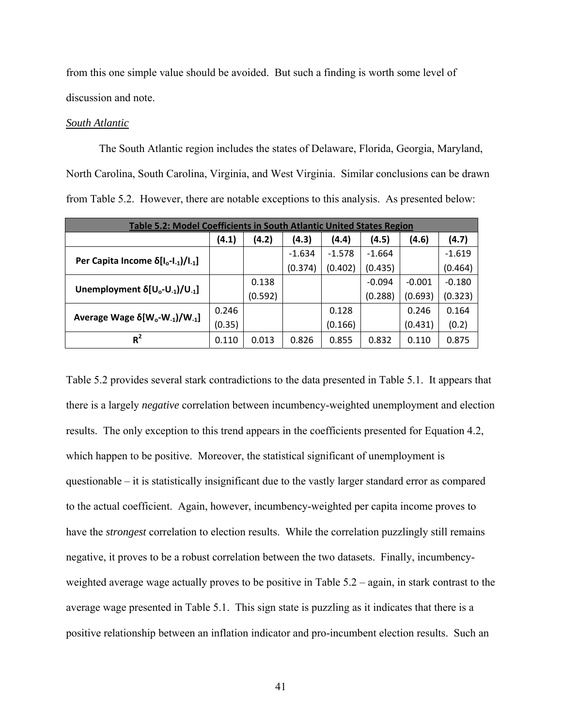from this one simple value should be avoided. But such a finding is worth some level of discussion and note.

# *South Atlantic*

 The South Atlantic region includes the states of Delaware, Florida, Georgia, Maryland, North Carolina, South Carolina, Virginia, and West Virginia. Similar conclusions can be drawn from Table 5.2. However, there are notable exceptions to this analysis. As presented below:

| Table 5.2: Model Coefficients in South Atlantic United States Region       |        |         |          |          |          |          |          |  |
|----------------------------------------------------------------------------|--------|---------|----------|----------|----------|----------|----------|--|
| (4.2)<br>(4.3)<br>(4.4)<br>(4.5)<br>(4.1)<br>(4.7)<br>(4.6)                |        |         |          |          |          |          |          |  |
|                                                                            |        |         | $-1.634$ | $-1.578$ | $-1.664$ |          | $-1.619$ |  |
| Per Capita Income $\delta[l_o-l_1]/l_{-1}$                                 |        |         | (0.374)  | (0.402)  | (0.435)  |          | (0.464)  |  |
|                                                                            |        | 0.138   |          |          | $-0.094$ | $-0.001$ | $-0.180$ |  |
| Unemployment $\delta[U_0-U_{-1}]/U_{-1}$                                   |        | (0.592) |          |          | (0.288)  | (0.693)  | (0.323)  |  |
|                                                                            | 0.246  |         |          | 0.128    |          | 0.246    | 0.164    |  |
| Average Wage $\delta$ [W <sub>o</sub> -W <sub>-1</sub> ]/W <sub>-1</sub> ] | (0.35) |         |          | (0.166)  |          | (0.431)  | (0.2)    |  |
| $R^2$                                                                      | 0.110  | 0.013   | 0.826    | 0.855    | 0.832    | 0.110    | 0.875    |  |

Table 5.2 provides several stark contradictions to the data presented in Table 5.1. It appears that there is a largely *negative* correlation between incumbency-weighted unemployment and election results. The only exception to this trend appears in the coefficients presented for Equation 4.2, which happen to be positive. Moreover, the statistical significant of unemployment is questionable – it is statistically insignificant due to the vastly larger standard error as compared to the actual coefficient. Again, however, incumbency-weighted per capita income proves to have the *strongest* correlation to election results. While the correlation puzzlingly still remains negative, it proves to be a robust correlation between the two datasets. Finally, incumbencyweighted average wage actually proves to be positive in Table 5.2 – again, in stark contrast to the average wage presented in Table 5.1. This sign state is puzzling as it indicates that there is a positive relationship between an inflation indicator and pro-incumbent election results. Such an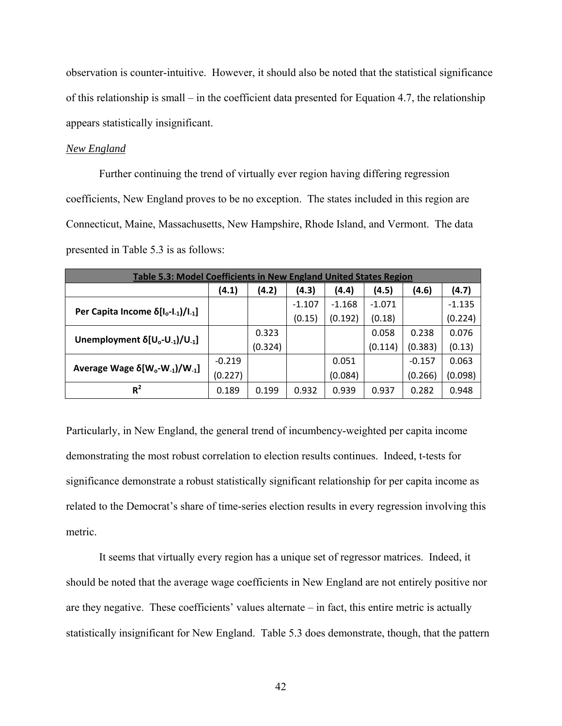observation is counter-intuitive. However, it should also be noted that the statistical significance of this relationship is small – in the coefficient data presented for Equation 4.7, the relationship appears statistically insignificant.

# *New England*

 Further continuing the trend of virtually ever region having differing regression coefficients, New England proves to be no exception. The states included in this region are Connecticut, Maine, Massachusetts, New Hampshire, Rhode Island, and Vermont. The data presented in Table 5.3 is as follows:

| <b>Table 5.3: Model Coefficients in New England United States Region</b>   |          |         |          |          |          |          |          |  |
|----------------------------------------------------------------------------|----------|---------|----------|----------|----------|----------|----------|--|
| (4.1)<br>(4.2)<br>(4.3)<br>(4.4)<br>(4.5)<br>(4.7)<br>(4.6)                |          |         |          |          |          |          |          |  |
|                                                                            |          |         | $-1.107$ | $-1.168$ | $-1.071$ |          | $-1.135$ |  |
| Per Capita Income $\delta[I_o-I_{-1})/I_{-1}]$                             |          |         | (0.15)   | (0.192)  | (0.18)   |          | (0.224)  |  |
|                                                                            |          | 0.323   |          |          | 0.058    | 0.238    | 0.076    |  |
| Unemployment $\delta[U_0-U_{-1}]/U_{-1}$                                   |          | (0.324) |          |          | (0.114)  | (0.383)  | (0.13)   |  |
|                                                                            | $-0.219$ |         |          | 0.051    |          | $-0.157$ | 0.063    |  |
| Average Wage $\delta$ [W <sub>o</sub> -W <sub>-1</sub> ]/W <sub>-1</sub> ] | (0.227)  |         |          | (0.084)  |          | (0.266)  | (0.098)  |  |
| $R^2$                                                                      | 0.189    | 0.199   | 0.932    | 0.939    | 0.937    | 0.282    | 0.948    |  |

Particularly, in New England, the general trend of incumbency-weighted per capita income demonstrating the most robust correlation to election results continues. Indeed, t-tests for significance demonstrate a robust statistically significant relationship for per capita income as related to the Democrat's share of time-series election results in every regression involving this metric.

It seems that virtually every region has a unique set of regressor matrices. Indeed, it should be noted that the average wage coefficients in New England are not entirely positive nor are they negative. These coefficients' values alternate – in fact, this entire metric is actually statistically insignificant for New England. Table 5.3 does demonstrate, though, that the pattern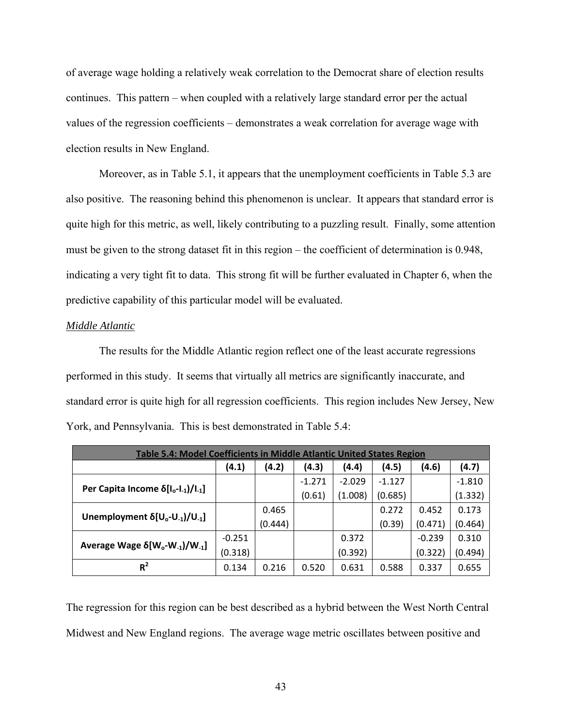of average wage holding a relatively weak correlation to the Democrat share of election results continues. This pattern – when coupled with a relatively large standard error per the actual values of the regression coefficients – demonstrates a weak correlation for average wage with election results in New England.

Moreover, as in Table 5.1, it appears that the unemployment coefficients in Table 5.3 are also positive. The reasoning behind this phenomenon is unclear. It appears that standard error is quite high for this metric, as well, likely contributing to a puzzling result. Finally, some attention must be given to the strong dataset fit in this region – the coefficient of determination is 0.948, indicating a very tight fit to data. This strong fit will be further evaluated in Chapter 6, when the predictive capability of this particular model will be evaluated.

#### *Middle Atlantic*

 The results for the Middle Atlantic region reflect one of the least accurate regressions performed in this study. It seems that virtually all metrics are significantly inaccurate, and standard error is quite high for all regression coefficients. This region includes New Jersey, New York, and Pennsylvania. This is best demonstrated in Table 5.4:

| Table 5.4: Model Coefficients in Middle Atlantic United States Region      |          |         |          |          |          |          |          |  |
|----------------------------------------------------------------------------|----------|---------|----------|----------|----------|----------|----------|--|
| (4.3)<br>(4.5)<br>(4.2)<br>(4.1)<br>(4.7)<br>(4.4)<br>(4.6)                |          |         |          |          |          |          |          |  |
|                                                                            |          |         | $-1.271$ | $-2.029$ | $-1.127$ |          | $-1.810$ |  |
| Per Capita Income $\delta[I_o-I_{-1})/I_{-1}]$                             |          |         | (0.61)   | (1.008)  | (0.685)  |          | (1.332)  |  |
|                                                                            |          | 0.465   |          |          | 0.272    | 0.452    | 0.173    |  |
| Unemployment $\delta[U_0-U_{-1}]/U_{-1}$                                   |          | (0.444) |          |          | (0.39)   | (0.471)  | (0.464)  |  |
|                                                                            | $-0.251$ |         |          | 0.372    |          | $-0.239$ | 0.310    |  |
| Average Wage $\delta$ [W <sub>o</sub> -W <sub>-1</sub> ]/W <sub>-1</sub> ] | (0.318)  |         |          | (0.392)  |          | (0.322)  | (0.494)  |  |
| $R^2$                                                                      | 0.134    | 0.216   | 0.520    | 0.631    | 0.588    | 0.337    | 0.655    |  |

The regression for this region can be best described as a hybrid between the West North Central Midwest and New England regions. The average wage metric oscillates between positive and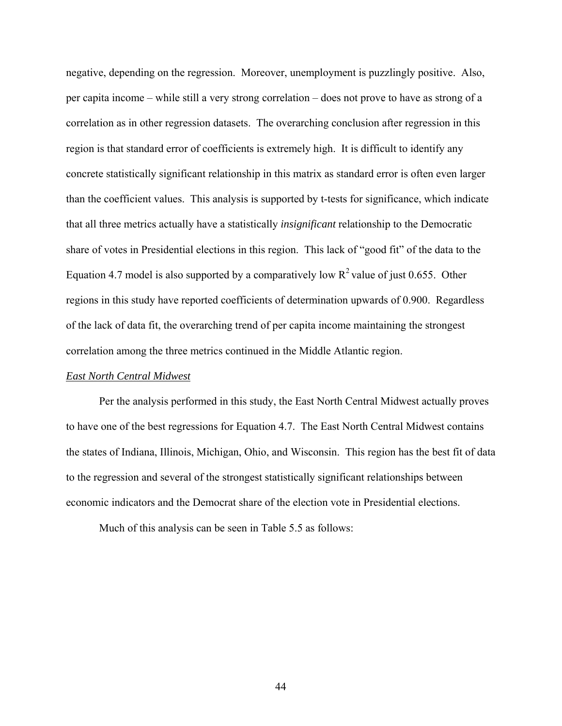negative, depending on the regression. Moreover, unemployment is puzzlingly positive. Also, per capita income – while still a very strong correlation – does not prove to have as strong of a correlation as in other regression datasets. The overarching conclusion after regression in this region is that standard error of coefficients is extremely high. It is difficult to identify any concrete statistically significant relationship in this matrix as standard error is often even larger than the coefficient values. This analysis is supported by t-tests for significance, which indicate that all three metrics actually have a statistically *insignificant* relationship to the Democratic share of votes in Presidential elections in this region. This lack of "good fit" of the data to the Equation 4.7 model is also supported by a comparatively low  $R^2$  value of just 0.655. Other regions in this study have reported coefficients of determination upwards of 0.900. Regardless of the lack of data fit, the overarching trend of per capita income maintaining the strongest correlation among the three metrics continued in the Middle Atlantic region.

#### *East North Central Midwest*

 Per the analysis performed in this study, the East North Central Midwest actually proves to have one of the best regressions for Equation 4.7. The East North Central Midwest contains the states of Indiana, Illinois, Michigan, Ohio, and Wisconsin. This region has the best fit of data to the regression and several of the strongest statistically significant relationships between economic indicators and the Democrat share of the election vote in Presidential elections.

Much of this analysis can be seen in Table 5.5 as follows: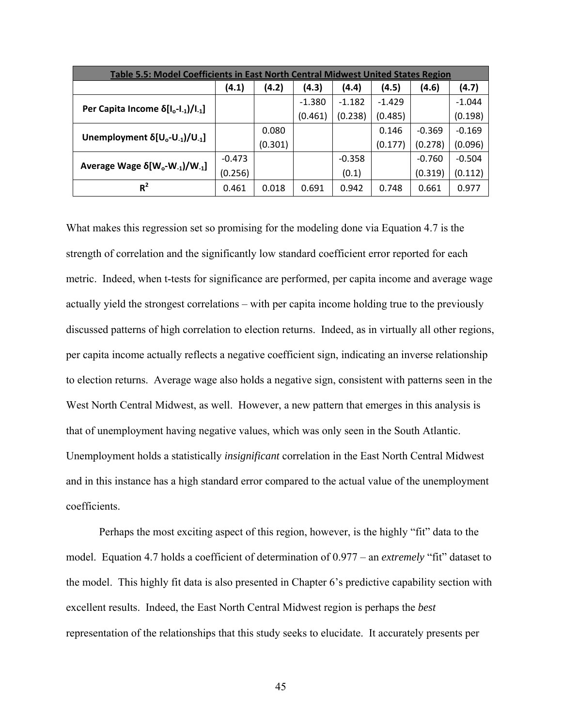| Table 5.5: Model Coefficients in East North Central Midwest United States Region |          |         |          |          |          |          |          |  |
|----------------------------------------------------------------------------------|----------|---------|----------|----------|----------|----------|----------|--|
|                                                                                  | (4.1)    | (4.2)   | (4.3)    | (4.4)    | (4.5)    | (4.6)    | (4.7)    |  |
|                                                                                  |          |         | $-1.380$ | $-1.182$ | $-1.429$ |          | $-1.044$ |  |
| Per Capita Income $\delta[l_o-l_1]/l_{1}]$                                       |          |         | (0.461)  | (0.238)  | (0.485)  |          | (0.198)  |  |
|                                                                                  |          | 0.080   |          |          | 0.146    | $-0.369$ | $-0.169$ |  |
| Unemployment $\delta[U_0-U_{-1}]/U_{-1}$                                         |          | (0.301) |          |          | (0.177)  | (0.278)  | (0.096)  |  |
| Average Wage $\delta$ [W <sub>o</sub> -W <sub>-1</sub> ]/W <sub>-1</sub> ]       | $-0.473$ |         |          | $-0.358$ |          | $-0.760$ | $-0.504$ |  |
|                                                                                  | (0.256)  |         |          | (0.1)    |          | (0.319)  | (0.112)  |  |
| $R^2$                                                                            | 0.461    | 0.018   | 0.691    | 0.942    | 0.748    | 0.661    | 0.977    |  |

What makes this regression set so promising for the modeling done via Equation 4.7 is the strength of correlation and the significantly low standard coefficient error reported for each metric. Indeed, when t-tests for significance are performed, per capita income and average wage actually yield the strongest correlations – with per capita income holding true to the previously discussed patterns of high correlation to election returns. Indeed, as in virtually all other regions, per capita income actually reflects a negative coefficient sign, indicating an inverse relationship to election returns. Average wage also holds a negative sign, consistent with patterns seen in the West North Central Midwest, as well. However, a new pattern that emerges in this analysis is that of unemployment having negative values, which was only seen in the South Atlantic. Unemployment holds a statistically *insignificant* correlation in the East North Central Midwest and in this instance has a high standard error compared to the actual value of the unemployment coefficients.

 Perhaps the most exciting aspect of this region, however, is the highly "fit" data to the model. Equation 4.7 holds a coefficient of determination of 0.977 – an *extremely* "fit" dataset to the model. This highly fit data is also presented in Chapter 6's predictive capability section with excellent results. Indeed, the East North Central Midwest region is perhaps the *best* representation of the relationships that this study seeks to elucidate. It accurately presents per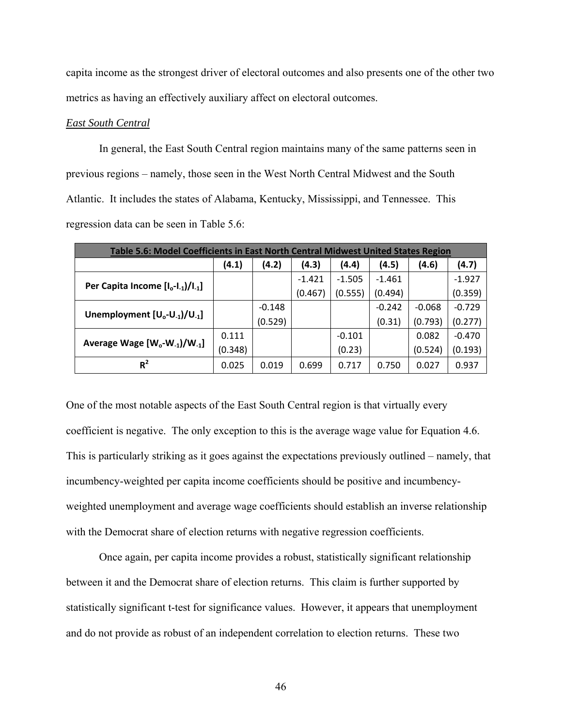capita income as the strongest driver of electoral outcomes and also presents one of the other two metrics as having an effectively auxiliary affect on electoral outcomes.

# *East South Central*

 In general, the East South Central region maintains many of the same patterns seen in previous regions – namely, those seen in the West North Central Midwest and the South Atlantic. It includes the states of Alabama, Kentucky, Mississippi, and Tennessee. This regression data can be seen in Table 5.6:

| Table 5.6: Model Coefficients in East North Central Midwest United States Region |         |          |          |          |          |          |          |  |
|----------------------------------------------------------------------------------|---------|----------|----------|----------|----------|----------|----------|--|
|                                                                                  | (4.1)   | (4.2)    | (4.3)    | (4.4)    | (4.5)    | (4.6)    | (4.7)    |  |
|                                                                                  |         |          | $-1.421$ | $-1.505$ | $-1.461$ |          | $-1.927$ |  |
| Per Capita Income $[I_o-I_{-1})/I_{-1}]$                                         |         |          | (0.467)  | (0.555)  | (0.494)  |          | (0.359)  |  |
|                                                                                  |         | $-0.148$ |          |          | $-0.242$ | $-0.068$ | $-0.729$ |  |
| Unemployment $[U_0-U_{-1}]/U_{-1}$                                               |         | (0.529)  |          |          | (0.31)   | (0.793)  | (0.277)  |  |
|                                                                                  | 0.111   |          |          | $-0.101$ |          | 0.082    | $-0.470$ |  |
| Average Wage [W <sub>o</sub> -W <sub>-1</sub> ]/W <sub>-1</sub> ]                | (0.348) |          |          | (0.23)   |          | (0.524)  | (0.193)  |  |
| $R^2$                                                                            | 0.025   | 0.019    | 0.699    | 0.717    | 0.750    | 0.027    | 0.937    |  |

One of the most notable aspects of the East South Central region is that virtually every coefficient is negative. The only exception to this is the average wage value for Equation 4.6. This is particularly striking as it goes against the expectations previously outlined – namely, that incumbency-weighted per capita income coefficients should be positive and incumbencyweighted unemployment and average wage coefficients should establish an inverse relationship with the Democrat share of election returns with negative regression coefficients.

 Once again, per capita income provides a robust, statistically significant relationship between it and the Democrat share of election returns. This claim is further supported by statistically significant t-test for significance values. However, it appears that unemployment and do not provide as robust of an independent correlation to election returns. These two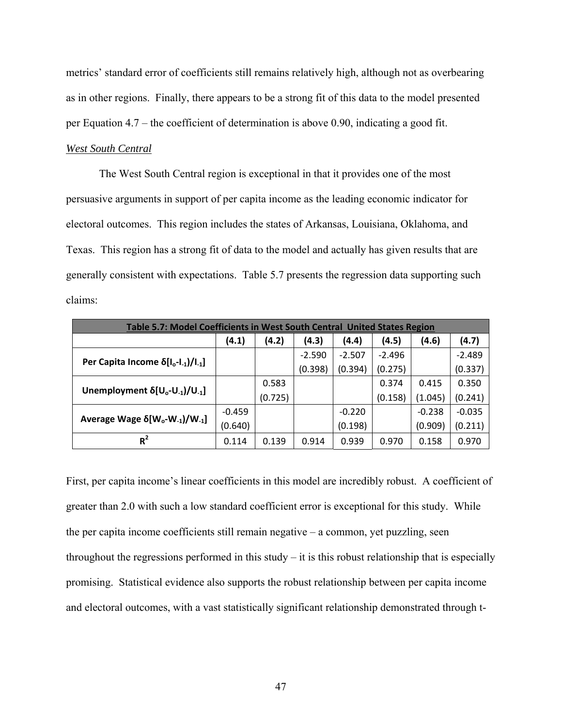metrics' standard error of coefficients still remains relatively high, although not as overbearing as in other regions. Finally, there appears to be a strong fit of this data to the model presented per Equation 4.7 – the coefficient of determination is above 0.90, indicating a good fit.

# *West South Central*

 The West South Central region is exceptional in that it provides one of the most persuasive arguments in support of per capita income as the leading economic indicator for electoral outcomes. This region includes the states of Arkansas, Louisiana, Oklahoma, and Texas. This region has a strong fit of data to the model and actually has given results that are generally consistent with expectations. Table 5.7 presents the regression data supporting such claims:

| Table 5.7: Model Coefficients in West South Central United States Region   |          |         |          |          |          |          |          |  |
|----------------------------------------------------------------------------|----------|---------|----------|----------|----------|----------|----------|--|
|                                                                            | (4.1)    | (4.2)   | (4.3)    | (4.4)    | (4.5)    | (4.6)    | (4.7)    |  |
|                                                                            |          |         | $-2.590$ | $-2.507$ | $-2.496$ |          | $-2.489$ |  |
| Per Capita Income $\delta[I_o-I_{-1})/I_{-1}]$                             |          |         | (0.398)  | (0.394)  | (0.275)  |          | (0.337)  |  |
|                                                                            |          | 0.583   |          |          | 0.374    | 0.415    | 0.350    |  |
| Unemployment $\delta[U_0-U_{-1}]/U_{-1}$                                   |          | (0.725) |          |          | (0.158)  | (1.045)  | (0.241)  |  |
|                                                                            | $-0.459$ |         |          | $-0.220$ |          | $-0.238$ | $-0.035$ |  |
| Average Wage $\delta$ [W <sub>o</sub> -W <sub>-1</sub> ]/W <sub>-1</sub> ] | (0.640)  |         |          | (0.198)  |          | (0.909)  | (0.211)  |  |
| $R^2$                                                                      | 0.114    | 0.139   | 0.914    | 0.939    | 0.970    | 0.158    | 0.970    |  |

First, per capita income's linear coefficients in this model are incredibly robust. A coefficient of greater than 2.0 with such a low standard coefficient error is exceptional for this study. While the per capita income coefficients still remain negative – a common, yet puzzling, seen throughout the regressions performed in this study – it is this robust relationship that is especially promising. Statistical evidence also supports the robust relationship between per capita income and electoral outcomes, with a vast statistically significant relationship demonstrated through t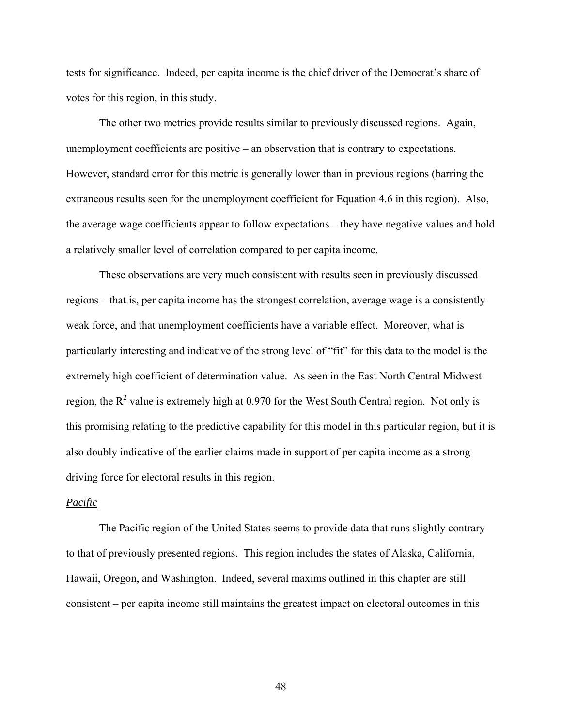tests for significance. Indeed, per capita income is the chief driver of the Democrat's share of votes for this region, in this study.

 The other two metrics provide results similar to previously discussed regions. Again, unemployment coefficients are positive – an observation that is contrary to expectations. However, standard error for this metric is generally lower than in previous regions (barring the extraneous results seen for the unemployment coefficient for Equation 4.6 in this region). Also, the average wage coefficients appear to follow expectations – they have negative values and hold a relatively smaller level of correlation compared to per capita income.

These observations are very much consistent with results seen in previously discussed regions – that is, per capita income has the strongest correlation, average wage is a consistently weak force, and that unemployment coefficients have a variable effect. Moreover, what is particularly interesting and indicative of the strong level of "fit" for this data to the model is the extremely high coefficient of determination value. As seen in the East North Central Midwest region, the  $R^2$  value is extremely high at 0.970 for the West South Central region. Not only is this promising relating to the predictive capability for this model in this particular region, but it is also doubly indicative of the earlier claims made in support of per capita income as a strong driving force for electoral results in this region.

# *Pacific*

 The Pacific region of the United States seems to provide data that runs slightly contrary to that of previously presented regions. This region includes the states of Alaska, California, Hawaii, Oregon, and Washington. Indeed, several maxims outlined in this chapter are still consistent – per capita income still maintains the greatest impact on electoral outcomes in this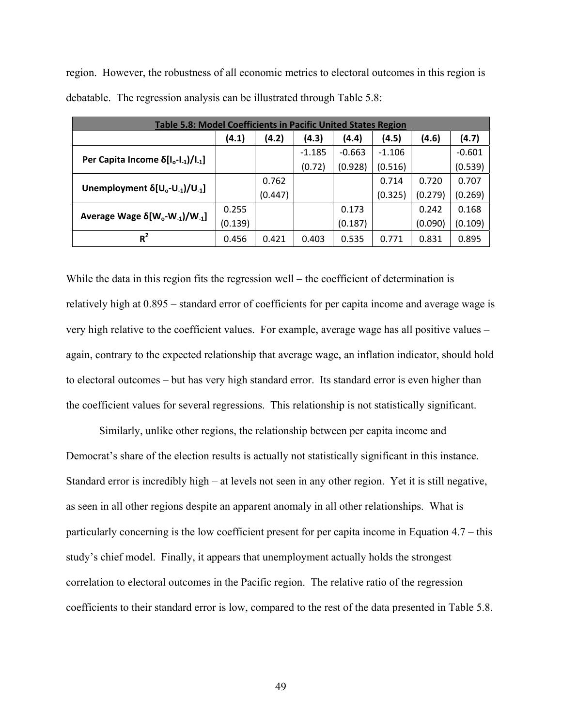region. However, the robustness of all economic metrics to electoral outcomes in this region is debatable. The regression analysis can be illustrated through Table 5.8:

| Table 5.8: Model Coefficients in Pacific United States Region              |         |         |          |          |          |         |          |  |
|----------------------------------------------------------------------------|---------|---------|----------|----------|----------|---------|----------|--|
|                                                                            | (4.1)   | (4.2)   | (4.3)    | (4.4)    | (4.5)    | (4.6)   | (4.7)    |  |
|                                                                            |         |         | $-1.185$ | $-0.663$ | $-1.106$ |         | $-0.601$ |  |
| Per Capita Income $\delta[I_o-I_{-1})/I_{-1}]$                             |         |         | (0.72)   | (0.928)  | (0.516)  |         | (0.539)  |  |
|                                                                            |         | 0.762   |          |          | 0.714    | 0.720   | 0.707    |  |
| Unemployment $\delta[U_0-U_{-1}]/U_{-1}$                                   |         | (0.447) |          |          | (0.325)  | (0.279) | (0.269)  |  |
| Average Wage $\delta$ [W <sub>o</sub> -W <sub>-1</sub> ]/W <sub>-1</sub> ] | 0.255   |         |          | 0.173    |          | 0.242   | 0.168    |  |
|                                                                            | (0.139) |         |          | (0.187)  |          | (0.090) | (0.109)  |  |
| $R^2$                                                                      | 0.456   | 0.421   | 0.403    | 0.535    | 0.771    | 0.831   | 0.895    |  |

While the data in this region fits the regression well – the coefficient of determination is relatively high at 0.895 – standard error of coefficients for per capita income and average wage is very high relative to the coefficient values. For example, average wage has all positive values – again, contrary to the expected relationship that average wage, an inflation indicator, should hold to electoral outcomes – but has very high standard error. Its standard error is even higher than the coefficient values for several regressions. This relationship is not statistically significant.

 Similarly, unlike other regions, the relationship between per capita income and Democrat's share of the election results is actually not statistically significant in this instance. Standard error is incredibly high – at levels not seen in any other region. Yet it is still negative, as seen in all other regions despite an apparent anomaly in all other relationships. What is particularly concerning is the low coefficient present for per capita income in Equation 4.7 – this study's chief model. Finally, it appears that unemployment actually holds the strongest correlation to electoral outcomes in the Pacific region. The relative ratio of the regression coefficients to their standard error is low, compared to the rest of the data presented in Table 5.8.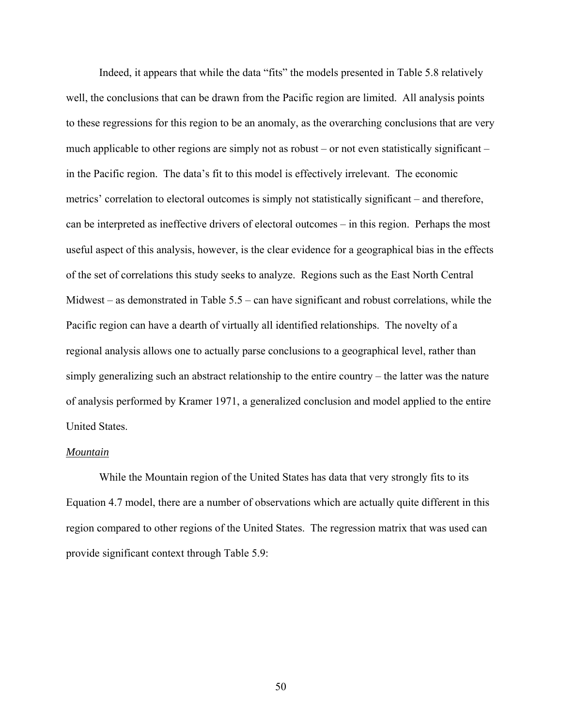Indeed, it appears that while the data "fits" the models presented in Table 5.8 relatively well, the conclusions that can be drawn from the Pacific region are limited. All analysis points to these regressions for this region to be an anomaly, as the overarching conclusions that are very much applicable to other regions are simply not as robust – or not even statistically significant – in the Pacific region. The data's fit to this model is effectively irrelevant. The economic metrics' correlation to electoral outcomes is simply not statistically significant – and therefore, can be interpreted as ineffective drivers of electoral outcomes – in this region. Perhaps the most useful aspect of this analysis, however, is the clear evidence for a geographical bias in the effects of the set of correlations this study seeks to analyze. Regions such as the East North Central Midwest – as demonstrated in Table 5.5 – can have significant and robust correlations, while the Pacific region can have a dearth of virtually all identified relationships. The novelty of a regional analysis allows one to actually parse conclusions to a geographical level, rather than simply generalizing such an abstract relationship to the entire country – the latter was the nature of analysis performed by Kramer 1971, a generalized conclusion and model applied to the entire United States.

#### *Mountain*

 While the Mountain region of the United States has data that very strongly fits to its Equation 4.7 model, there are a number of observations which are actually quite different in this region compared to other regions of the United States. The regression matrix that was used can provide significant context through Table 5.9: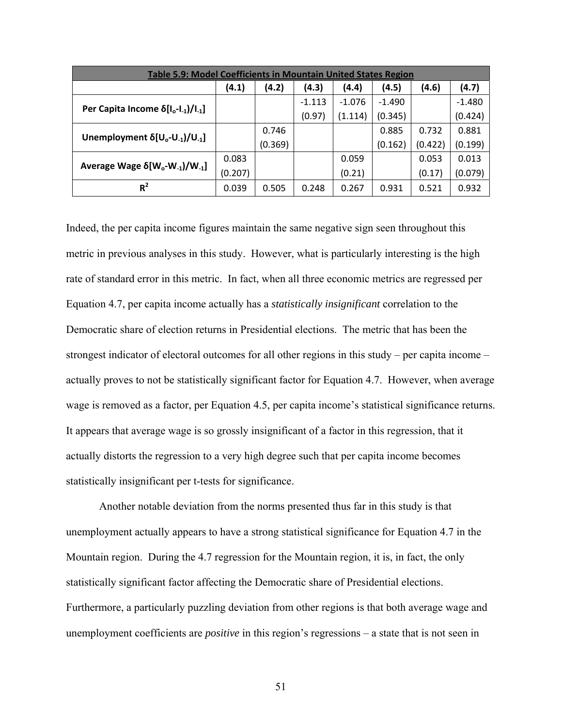| Table 5.9: Model Coefficients in Mountain United States Region             |         |         |          |          |          |         |          |  |
|----------------------------------------------------------------------------|---------|---------|----------|----------|----------|---------|----------|--|
|                                                                            | (4.1)   | (4.2)   | (4.3)    | (4.4)    | (4.5)    | (4.6)   | (4.7)    |  |
|                                                                            |         |         | $-1.113$ | $-1.076$ | $-1.490$ |         | $-1.480$ |  |
| Per Capita Income $\delta[I_o-I_{-1})/I_{-1}]$                             |         |         | (0.97)   | (1.114)  | (0.345)  |         | (0.424)  |  |
|                                                                            |         | 0.746   |          |          | 0.885    | 0.732   | 0.881    |  |
| Unemployment $\delta[U_0-U_{-1}]/U_{-1}$                                   |         | (0.369) |          |          | (0.162)  | (0.422) | (0.199)  |  |
|                                                                            | 0.083   |         |          | 0.059    |          | 0.053   | 0.013    |  |
| Average Wage $\delta$ [W <sub>o</sub> -W <sub>-1</sub> ]/W <sub>-1</sub> ] | (0.207) |         |          | (0.21)   |          | (0.17)  | (0.079)  |  |
| $R^2$                                                                      | 0.039   | 0.505   | 0.248    | 0.267    | 0.931    | 0.521   | 0.932    |  |

Indeed, the per capita income figures maintain the same negative sign seen throughout this metric in previous analyses in this study. However, what is particularly interesting is the high rate of standard error in this metric. In fact, when all three economic metrics are regressed per Equation 4.7, per capita income actually has a *statistically insignificant* correlation to the Democratic share of election returns in Presidential elections. The metric that has been the strongest indicator of electoral outcomes for all other regions in this study – per capita income – actually proves to not be statistically significant factor for Equation 4.7. However, when average wage is removed as a factor, per Equation 4.5, per capita income's statistical significance returns. It appears that average wage is so grossly insignificant of a factor in this regression, that it actually distorts the regression to a very high degree such that per capita income becomes statistically insignificant per t-tests for significance.

 Another notable deviation from the norms presented thus far in this study is that unemployment actually appears to have a strong statistical significance for Equation 4.7 in the Mountain region. During the 4.7 regression for the Mountain region, it is, in fact, the only statistically significant factor affecting the Democratic share of Presidential elections. Furthermore, a particularly puzzling deviation from other regions is that both average wage and unemployment coefficients are *positive* in this region's regressions – a state that is not seen in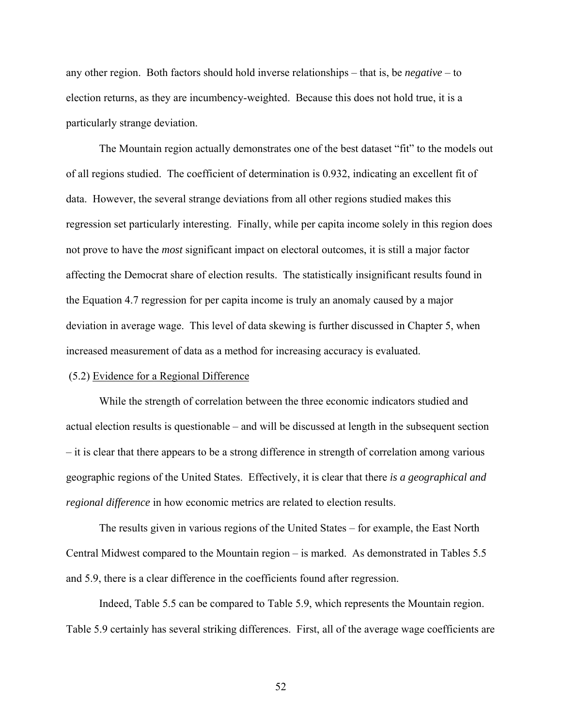any other region. Both factors should hold inverse relationships – that is, be *negative* – to election returns, as they are incumbency-weighted. Because this does not hold true, it is a particularly strange deviation.

 The Mountain region actually demonstrates one of the best dataset "fit" to the models out of all regions studied. The coefficient of determination is 0.932, indicating an excellent fit of data. However, the several strange deviations from all other regions studied makes this regression set particularly interesting. Finally, while per capita income solely in this region does not prove to have the *most* significant impact on electoral outcomes, it is still a major factor affecting the Democrat share of election results. The statistically insignificant results found in the Equation 4.7 regression for per capita income is truly an anomaly caused by a major deviation in average wage. This level of data skewing is further discussed in Chapter 5, when increased measurement of data as a method for increasing accuracy is evaluated.

# (5.2) Evidence for a Regional Difference

 While the strength of correlation between the three economic indicators studied and actual election results is questionable – and will be discussed at length in the subsequent section – it is clear that there appears to be a strong difference in strength of correlation among various geographic regions of the United States. Effectively, it is clear that there *is a geographical and regional difference* in how economic metrics are related to election results.

The results given in various regions of the United States – for example, the East North Central Midwest compared to the Mountain region – is marked. As demonstrated in Tables 5.5 and 5.9, there is a clear difference in the coefficients found after regression.

Indeed, Table 5.5 can be compared to Table 5.9, which represents the Mountain region. Table 5.9 certainly has several striking differences. First, all of the average wage coefficients are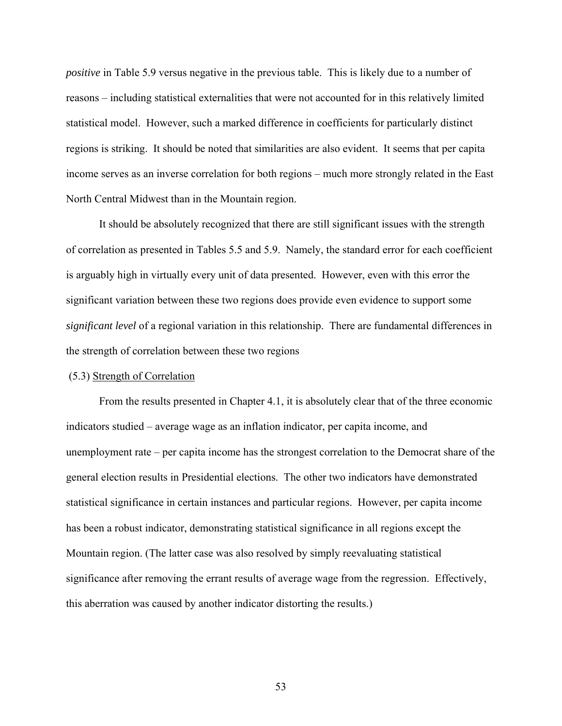*positive* in Table 5.9 versus negative in the previous table. This is likely due to a number of reasons – including statistical externalities that were not accounted for in this relatively limited statistical model. However, such a marked difference in coefficients for particularly distinct regions is striking. It should be noted that similarities are also evident. It seems that per capita income serves as an inverse correlation for both regions – much more strongly related in the East North Central Midwest than in the Mountain region.

 It should be absolutely recognized that there are still significant issues with the strength of correlation as presented in Tables 5.5 and 5.9. Namely, the standard error for each coefficient is arguably high in virtually every unit of data presented. However, even with this error the significant variation between these two regions does provide even evidence to support some *significant level* of a regional variation in this relationship. There are fundamental differences in the strength of correlation between these two regions

#### (5.3) Strength of Correlation

 From the results presented in Chapter 4.1, it is absolutely clear that of the three economic indicators studied – average wage as an inflation indicator, per capita income, and unemployment rate – per capita income has the strongest correlation to the Democrat share of the general election results in Presidential elections. The other two indicators have demonstrated statistical significance in certain instances and particular regions. However, per capita income has been a robust indicator, demonstrating statistical significance in all regions except the Mountain region. (The latter case was also resolved by simply reevaluating statistical significance after removing the errant results of average wage from the regression. Effectively, this aberration was caused by another indicator distorting the results.)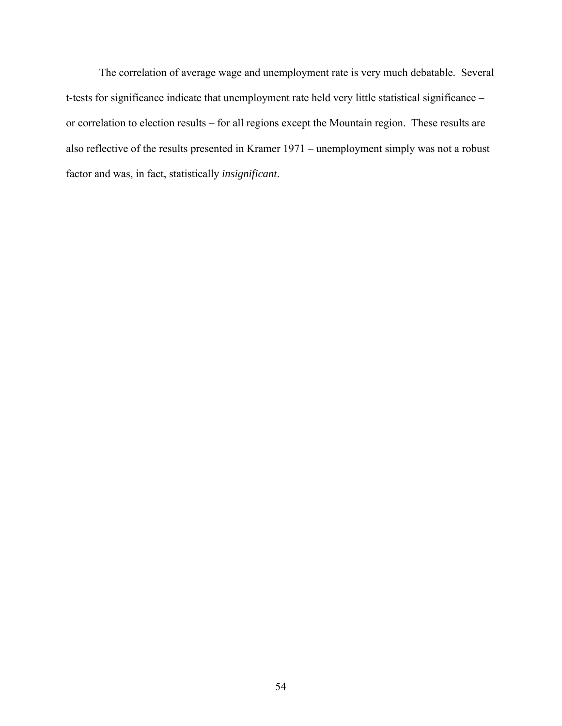The correlation of average wage and unemployment rate is very much debatable. Several t-tests for significance indicate that unemployment rate held very little statistical significance – or correlation to election results – for all regions except the Mountain region. These results are also reflective of the results presented in Kramer 1971 – unemployment simply was not a robust factor and was, in fact, statistically *insignificant*.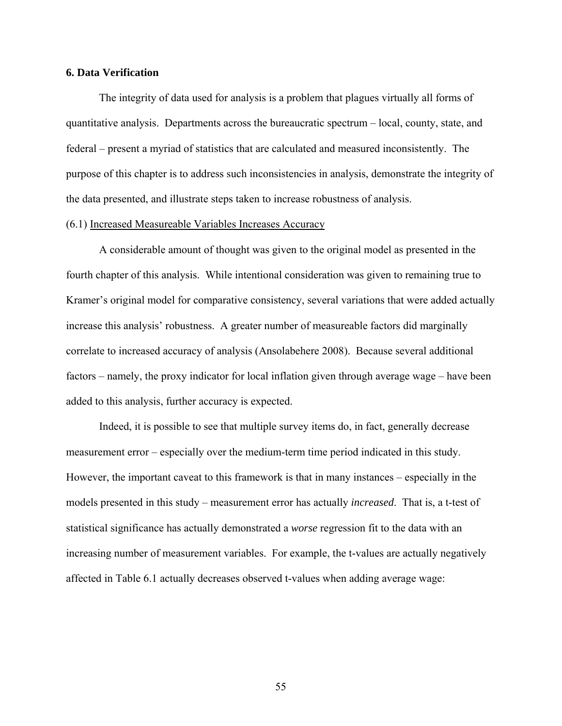# **6. Data Verification**

The integrity of data used for analysis is a problem that plagues virtually all forms of quantitative analysis. Departments across the bureaucratic spectrum – local, county, state, and federal – present a myriad of statistics that are calculated and measured inconsistently. The purpose of this chapter is to address such inconsistencies in analysis, demonstrate the integrity of the data presented, and illustrate steps taken to increase robustness of analysis.

#### (6.1) Increased Measureable Variables Increases Accuracy

 A considerable amount of thought was given to the original model as presented in the fourth chapter of this analysis. While intentional consideration was given to remaining true to Kramer's original model for comparative consistency, several variations that were added actually increase this analysis' robustness. A greater number of measureable factors did marginally correlate to increased accuracy of analysis (Ansolabehere 2008). Because several additional factors – namely, the proxy indicator for local inflation given through average wage – have been added to this analysis, further accuracy is expected.

Indeed, it is possible to see that multiple survey items do, in fact, generally decrease measurement error – especially over the medium-term time period indicated in this study. However, the important caveat to this framework is that in many instances – especially in the models presented in this study – measurement error has actually *increased*. That is, a t-test of statistical significance has actually demonstrated a *worse* regression fit to the data with an increasing number of measurement variables. For example, the t-values are actually negatively affected in Table 6.1 actually decreases observed t-values when adding average wage: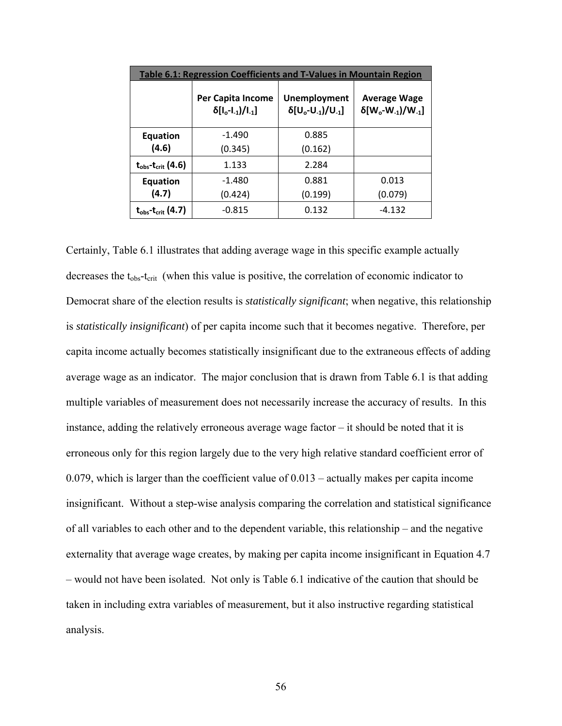| Table 6.1: Regression Coefficients and T-Values in Mountain Region |                                                       |                                              |                                                     |  |  |  |  |  |
|--------------------------------------------------------------------|-------------------------------------------------------|----------------------------------------------|-----------------------------------------------------|--|--|--|--|--|
|                                                                    | Per Capita Income<br>$\delta[I_{o} - I_{-1})/I_{-1}]$ | Unemployment<br>$\delta[U_0-U_{-1}]/U_{-1}]$ | <b>Average Wage</b><br>$\delta[W_0-W_{-1})/W_{-1}]$ |  |  |  |  |  |
| <b>Equation</b>                                                    | $-1.490$                                              | 0.885                                        |                                                     |  |  |  |  |  |
| (4.6)                                                              | (0.345)                                               | (0.162)                                      |                                                     |  |  |  |  |  |
| $t_{obs}$ - $t_{crit}$ (4.6)                                       | 1.133                                                 | 2.284                                        |                                                     |  |  |  |  |  |
| <b>Equation</b>                                                    | $-1.480$                                              | 0.881                                        | 0.013                                               |  |  |  |  |  |
| (4.7)                                                              | (0.424)                                               | (0.199)                                      | (0.079)                                             |  |  |  |  |  |
| $t_{obs}$ - $t_{crit}$ (4.7)                                       | $-0.815$                                              | 0.132                                        | $-4.132$                                            |  |  |  |  |  |

Certainly, Table 6.1 illustrates that adding average wage in this specific example actually decreases the  $t_{\rm obs}$ - $t_{\rm crit}$  (when this value is positive, the correlation of economic indicator to Democrat share of the election results is *statistically significant*; when negative, this relationship is *statistically insignificant*) of per capita income such that it becomes negative. Therefore, per capita income actually becomes statistically insignificant due to the extraneous effects of adding average wage as an indicator. The major conclusion that is drawn from Table 6.1 is that adding multiple variables of measurement does not necessarily increase the accuracy of results. In this instance, adding the relatively erroneous average wage factor – it should be noted that it is erroneous only for this region largely due to the very high relative standard coefficient error of 0.079, which is larger than the coefficient value of 0.013 – actually makes per capita income insignificant. Without a step-wise analysis comparing the correlation and statistical significance of all variables to each other and to the dependent variable, this relationship – and the negative externality that average wage creates, by making per capita income insignificant in Equation 4.7 – would not have been isolated. Not only is Table 6.1 indicative of the caution that should be taken in including extra variables of measurement, but it also instructive regarding statistical analysis.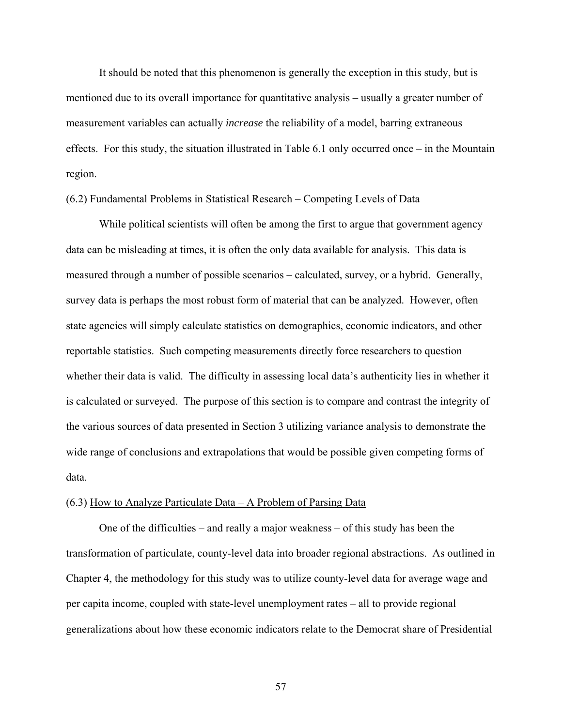It should be noted that this phenomenon is generally the exception in this study, but is mentioned due to its overall importance for quantitative analysis – usually a greater number of measurement variables can actually *increase* the reliability of a model, barring extraneous effects. For this study, the situation illustrated in Table 6.1 only occurred once – in the Mountain region.

#### (6.2) Fundamental Problems in Statistical Research – Competing Levels of Data

While political scientists will often be among the first to argue that government agency data can be misleading at times, it is often the only data available for analysis. This data is measured through a number of possible scenarios – calculated, survey, or a hybrid. Generally, survey data is perhaps the most robust form of material that can be analyzed. However, often state agencies will simply calculate statistics on demographics, economic indicators, and other reportable statistics. Such competing measurements directly force researchers to question whether their data is valid. The difficulty in assessing local data's authenticity lies in whether it is calculated or surveyed. The purpose of this section is to compare and contrast the integrity of the various sources of data presented in Section 3 utilizing variance analysis to demonstrate the wide range of conclusions and extrapolations that would be possible given competing forms of data.

#### (6.3) How to Analyze Particulate Data – A Problem of Parsing Data

 One of the difficulties – and really a major weakness – of this study has been the transformation of particulate, county-level data into broader regional abstractions. As outlined in Chapter 4, the methodology for this study was to utilize county-level data for average wage and per capita income, coupled with state-level unemployment rates – all to provide regional generalizations about how these economic indicators relate to the Democrat share of Presidential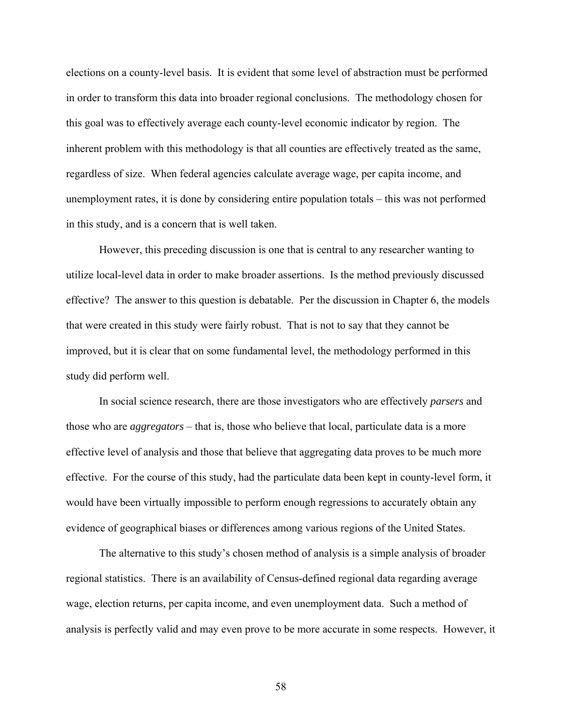elections on a county-level basis. It is evident that some level of abstraction must be performed in order to transform this data into broader regional conclusions. The methodology chosen for this goal was to effectively average each county-level economic indicator by region. The inherent problem with this methodology is that all counties are effectively treated as the same, regardless of size. When federal agencies calculate average wage, per capita income, and unemployment rates, it is done by considering entire population totals – this was not performed in this study, and is a concern that is well taken.

 However, this preceding discussion is one that is central to any researcher wanting to utilize local-level data in order to make broader assertions. Is the method previously discussed effective? The answer to this question is debatable. Per the discussion in Chapter 6, the models that were created in this study were fairly robust. That is not to say that they cannot be improved, but it is clear that on some fundamental level, the methodology performed in this study did perform well.

 In social science research, there are those investigators who are effectively *parsers* and those who are *aggregators* – that is, those who believe that local, particulate data is a more effective level of analysis and those that believe that aggregating data proves to be much more effective. For the course of this study, had the particulate data been kept in county-level form, it would have been virtually impossible to perform enough regressions to accurately obtain any evidence of geographical biases or differences among various regions of the United States.

 The alternative to this study's chosen method of analysis is a simple analysis of broader regional statistics. There is an availability of Census-defined regional data regarding average wage, election returns, per capita income, and even unemployment data. Such a method of analysis is perfectly valid and may even prove to be more accurate in some respects. However, it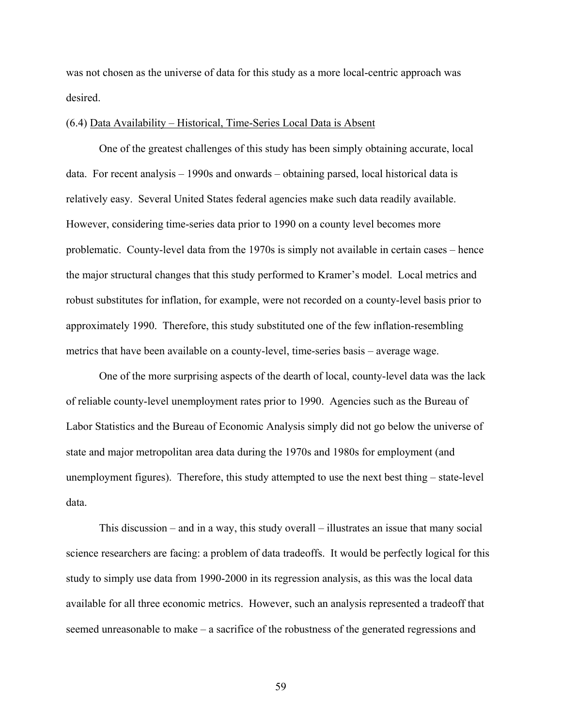was not chosen as the universe of data for this study as a more local-centric approach was desired.

#### (6.4) Data Availability – Historical, Time-Series Local Data is Absent

 One of the greatest challenges of this study has been simply obtaining accurate, local data. For recent analysis – 1990s and onwards – obtaining parsed, local historical data is relatively easy. Several United States federal agencies make such data readily available. However, considering time-series data prior to 1990 on a county level becomes more problematic. County-level data from the 1970s is simply not available in certain cases – hence the major structural changes that this study performed to Kramer's model. Local metrics and robust substitutes for inflation, for example, were not recorded on a county-level basis prior to approximately 1990. Therefore, this study substituted one of the few inflation-resembling metrics that have been available on a county-level, time-series basis – average wage.

 One of the more surprising aspects of the dearth of local, county-level data was the lack of reliable county-level unemployment rates prior to 1990. Agencies such as the Bureau of Labor Statistics and the Bureau of Economic Analysis simply did not go below the universe of state and major metropolitan area data during the 1970s and 1980s for employment (and unemployment figures). Therefore, this study attempted to use the next best thing – state-level data.

 This discussion – and in a way, this study overall – illustrates an issue that many social science researchers are facing: a problem of data tradeoffs. It would be perfectly logical for this study to simply use data from 1990-2000 in its regression analysis, as this was the local data available for all three economic metrics. However, such an analysis represented a tradeoff that seemed unreasonable to make – a sacrifice of the robustness of the generated regressions and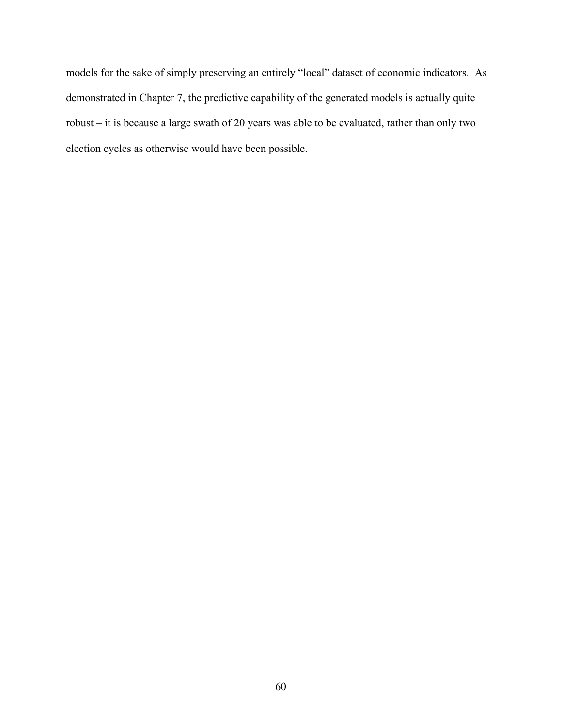models for the sake of simply preserving an entirely "local" dataset of economic indicators. As demonstrated in Chapter 7, the predictive capability of the generated models is actually quite robust – it is because a large swath of 20 years was able to be evaluated, rather than only two election cycles as otherwise would have been possible.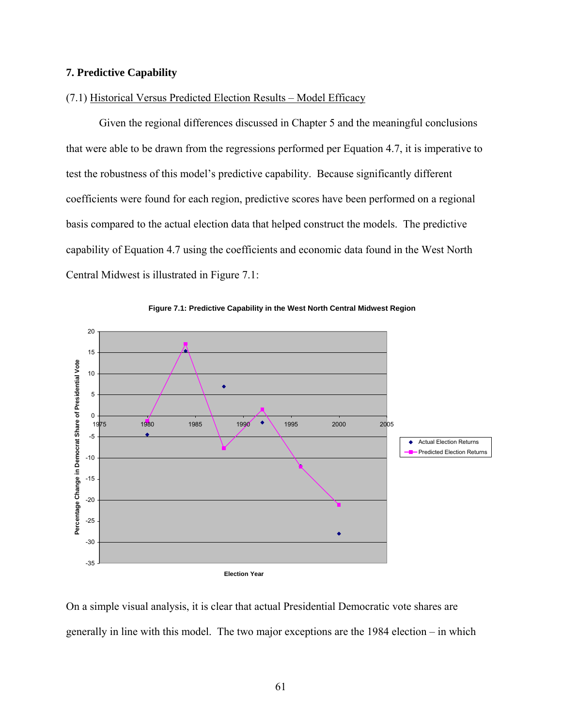# **7. Predictive Capability**

# (7.1) Historical Versus Predicted Election Results – Model Efficacy

Given the regional differences discussed in Chapter 5 and the meaningful conclusions that were able to be drawn from the regressions performed per Equation 4.7, it is imperative to test the robustness of this model's predictive capability. Because significantly different coefficients were found for each region, predictive scores have been performed on a regional basis compared to the actual election data that helped construct the models. The predictive capability of Equation 4.7 using the coefficients and economic data found in the West North Central Midwest is illustrated in Figure 7.1:





On a simple visual analysis, it is clear that actual Presidential Democratic vote shares are generally in line with this model. The two major exceptions are the 1984 election – in which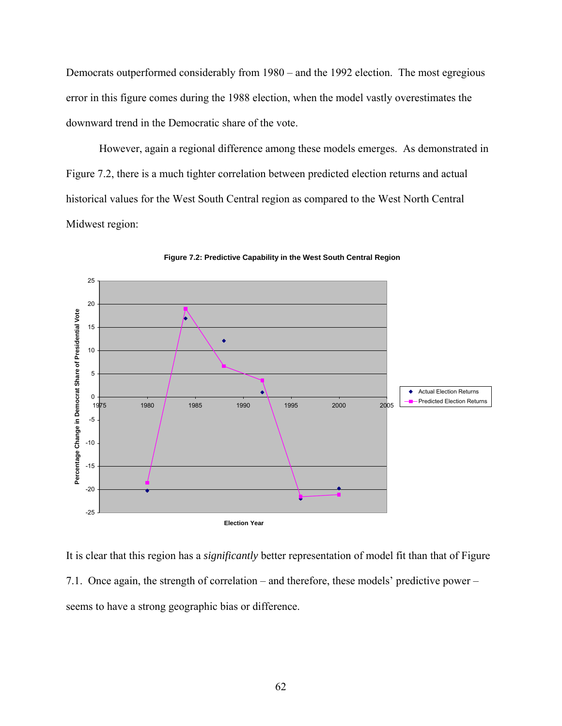Democrats outperformed considerably from 1980 – and the 1992 election. The most egregious error in this figure comes during the 1988 election, when the model vastly overestimates the downward trend in the Democratic share of the vote.

 However, again a regional difference among these models emerges. As demonstrated in Figure 7.2, there is a much tighter correlation between predicted election returns and actual historical values for the West South Central region as compared to the West North Central Midwest region:



**Figure 7.2: Predictive Capability in the West South Central Region**

It is clear that this region has a *significantly* better representation of model fit than that of Figure 7.1. Once again, the strength of correlation – and therefore, these models' predictive power – seems to have a strong geographic bias or difference.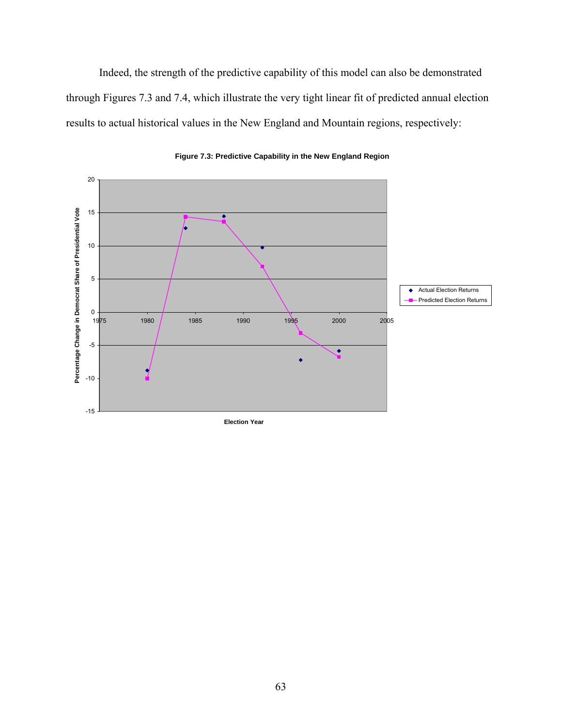Indeed, the strength of the predictive capability of this model can also be demonstrated through Figures 7.3 and 7.4, which illustrate the very tight linear fit of predicted annual election results to actual historical values in the New England and Mountain regions, respectively:



**Figure 7.3: Predictive Capability in the New England Region**

**Election Year**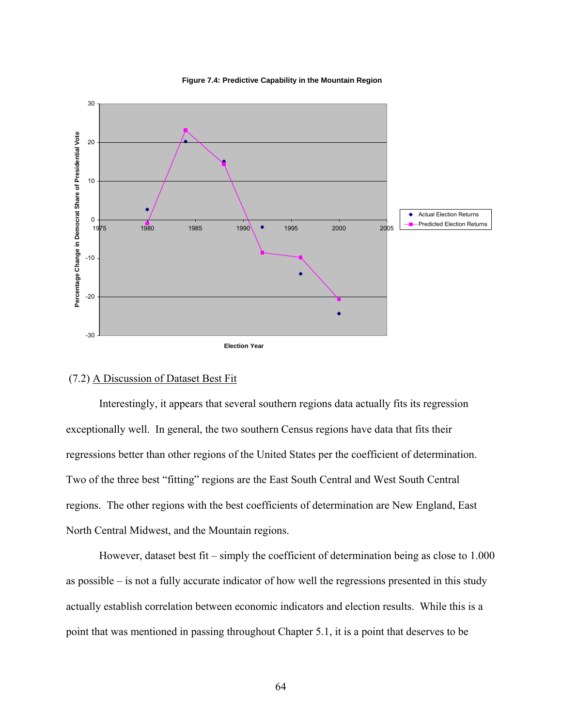

#### **Figure 7.4: Predictive Capability in the Mountain Region**

#### (7.2) A Discussion of Dataset Best Fit

 Interestingly, it appears that several southern regions data actually fits its regression exceptionally well. In general, the two southern Census regions have data that fits their regressions better than other regions of the United States per the coefficient of determination. Two of the three best "fitting" regions are the East South Central and West South Central regions. The other regions with the best coefficients of determination are New England, East North Central Midwest, and the Mountain regions.

However, dataset best fit – simply the coefficient of determination being as close to 1.000 as possible – is not a fully accurate indicator of how well the regressions presented in this study actually establish correlation between economic indicators and election results. While this is a point that was mentioned in passing throughout Chapter 5.1, it is a point that deserves to be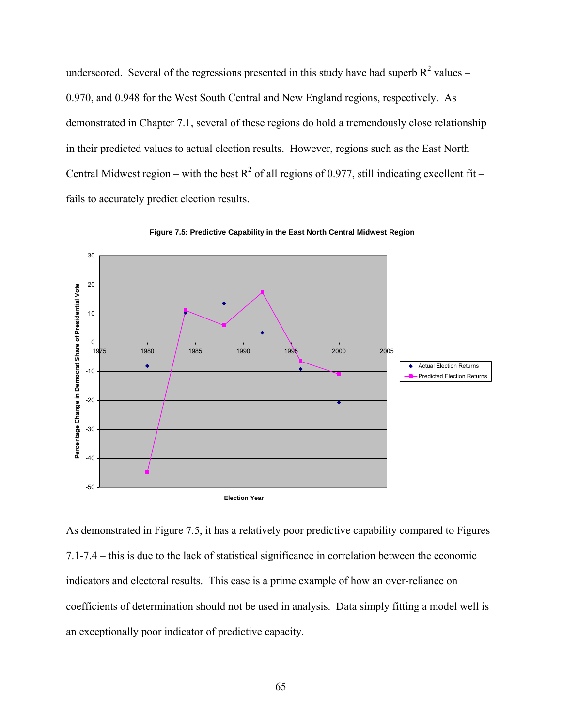underscored. Several of the regressions presented in this study have had superb  $R^2$  values – 0.970, and 0.948 for the West South Central and New England regions, respectively. As demonstrated in Chapter 7.1, several of these regions do hold a tremendously close relationship in their predicted values to actual election results. However, regions such as the East North Central Midwest region – with the best  $R^2$  of all regions of 0.977, still indicating excellent fit – fails to accurately predict election results.



**Figure 7.5: Predictive Capability in the East North Central Midwest Region**

As demonstrated in Figure 7.5, it has a relatively poor predictive capability compared to Figures 7.1-7.4 – this is due to the lack of statistical significance in correlation between the economic indicators and electoral results. This case is a prime example of how an over-reliance on coefficients of determination should not be used in analysis. Data simply fitting a model well is an exceptionally poor indicator of predictive capacity.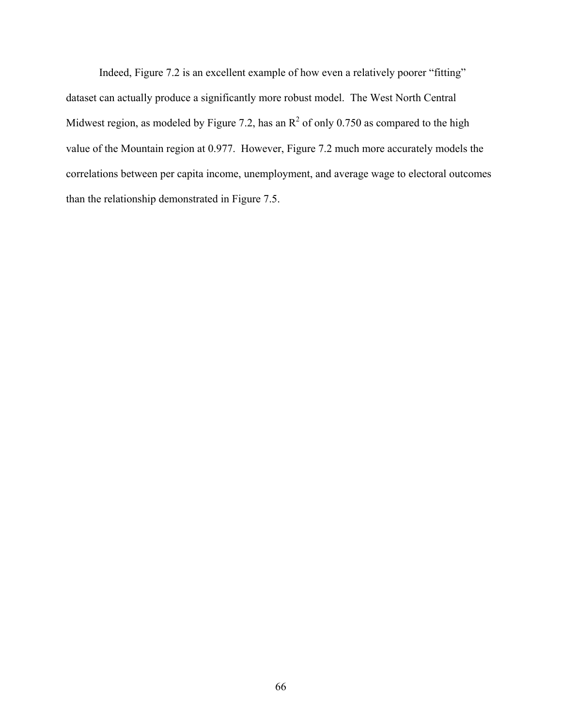Indeed, Figure 7.2 is an excellent example of how even a relatively poorer "fitting" dataset can actually produce a significantly more robust model. The West North Central Midwest region, as modeled by Figure 7.2, has an  $R^2$  of only 0.750 as compared to the high value of the Mountain region at 0.977. However, Figure 7.2 much more accurately models the correlations between per capita income, unemployment, and average wage to electoral outcomes than the relationship demonstrated in Figure 7.5.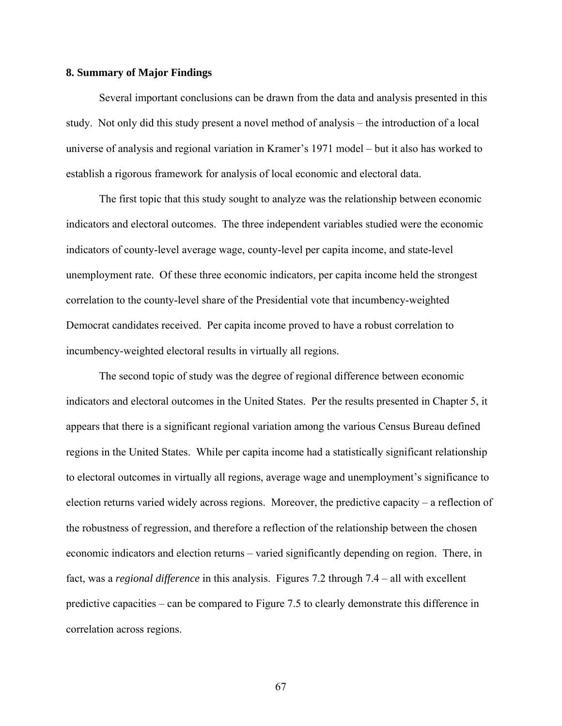# **8. Summary of Major Findings**

Several important conclusions can be drawn from the data and analysis presented in this study. Not only did this study present a novel method of analysis – the introduction of a local universe of analysis and regional variation in Kramer's 1971 model – but it also has worked to establish a rigorous framework for analysis of local economic and electoral data.

The first topic that this study sought to analyze was the relationship between economic indicators and electoral outcomes. The three independent variables studied were the economic indicators of county-level average wage, county-level per capita income, and state-level unemployment rate. Of these three economic indicators, per capita income held the strongest correlation to the county-level share of the Presidential vote that incumbency-weighted Democrat candidates received. Per capita income proved to have a robust correlation to incumbency-weighted electoral results in virtually all regions.

The second topic of study was the degree of regional difference between economic indicators and electoral outcomes in the United States. Per the results presented in Chapter 5, it appears that there is a significant regional variation among the various Census Bureau defined regions in the United States. While per capita income had a statistically significant relationship to electoral outcomes in virtually all regions, average wage and unemployment's significance to election returns varied widely across regions. Moreover, the predictive capacity – a reflection of the robustness of regression, and therefore a reflection of the relationship between the chosen economic indicators and election returns – varied significantly depending on region. There, in fact, was a *regional difference* in this analysis. Figures 7.2 through 7.4 – all with excellent predictive capacities – can be compared to Figure 7.5 to clearly demonstrate this difference in correlation across regions.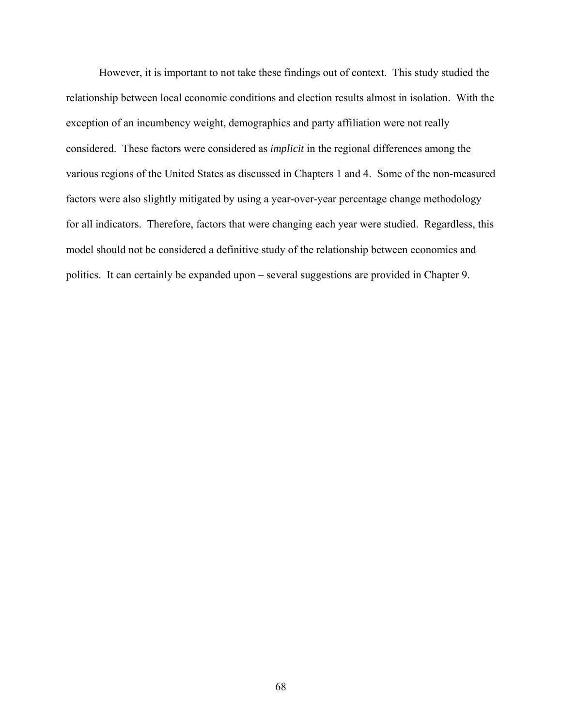However, it is important to not take these findings out of context. This study studied the relationship between local economic conditions and election results almost in isolation. With the exception of an incumbency weight, demographics and party affiliation were not really considered. These factors were considered as *implicit* in the regional differences among the various regions of the United States as discussed in Chapters 1 and 4. Some of the non-measured factors were also slightly mitigated by using a year-over-year percentage change methodology for all indicators. Therefore, factors that were changing each year were studied. Regardless, this model should not be considered a definitive study of the relationship between economics and politics. It can certainly be expanded upon – several suggestions are provided in Chapter 9.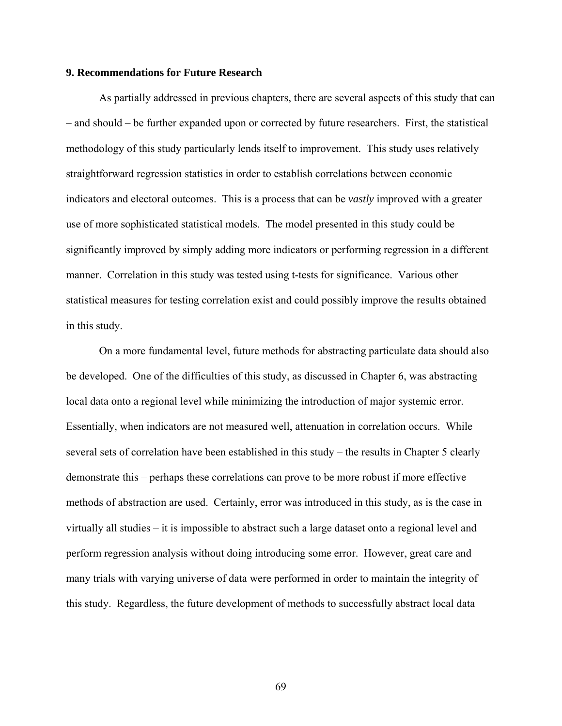# **9. Recommendations for Future Research**

 As partially addressed in previous chapters, there are several aspects of this study that can – and should – be further expanded upon or corrected by future researchers. First, the statistical methodology of this study particularly lends itself to improvement. This study uses relatively straightforward regression statistics in order to establish correlations between economic indicators and electoral outcomes. This is a process that can be *vastly* improved with a greater use of more sophisticated statistical models. The model presented in this study could be significantly improved by simply adding more indicators or performing regression in a different manner. Correlation in this study was tested using t-tests for significance. Various other statistical measures for testing correlation exist and could possibly improve the results obtained in this study.

 On a more fundamental level, future methods for abstracting particulate data should also be developed. One of the difficulties of this study, as discussed in Chapter 6, was abstracting local data onto a regional level while minimizing the introduction of major systemic error. Essentially, when indicators are not measured well, attenuation in correlation occurs. While several sets of correlation have been established in this study – the results in Chapter 5 clearly demonstrate this – perhaps these correlations can prove to be more robust if more effective methods of abstraction are used. Certainly, error was introduced in this study, as is the case in virtually all studies – it is impossible to abstract such a large dataset onto a regional level and perform regression analysis without doing introducing some error. However, great care and many trials with varying universe of data were performed in order to maintain the integrity of this study. Regardless, the future development of methods to successfully abstract local data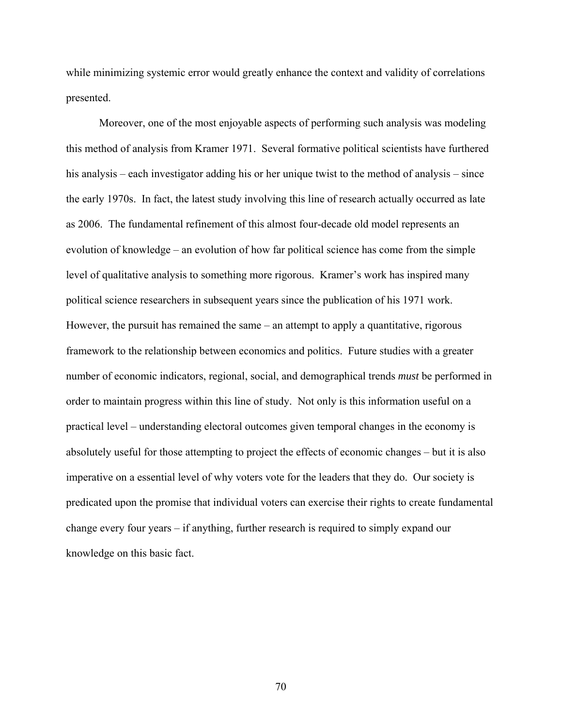while minimizing systemic error would greatly enhance the context and validity of correlations presented.

 Moreover, one of the most enjoyable aspects of performing such analysis was modeling this method of analysis from Kramer 1971. Several formative political scientists have furthered his analysis – each investigator adding his or her unique twist to the method of analysis – since the early 1970s. In fact, the latest study involving this line of research actually occurred as late as 2006. The fundamental refinement of this almost four-decade old model represents an evolution of knowledge – an evolution of how far political science has come from the simple level of qualitative analysis to something more rigorous. Kramer's work has inspired many political science researchers in subsequent years since the publication of his 1971 work. However, the pursuit has remained the same – an attempt to apply a quantitative, rigorous framework to the relationship between economics and politics. Future studies with a greater number of economic indicators, regional, social, and demographical trends *must* be performed in order to maintain progress within this line of study. Not only is this information useful on a practical level – understanding electoral outcomes given temporal changes in the economy is absolutely useful for those attempting to project the effects of economic changes – but it is also imperative on a essential level of why voters vote for the leaders that they do. Our society is predicated upon the promise that individual voters can exercise their rights to create fundamental change every four years – if anything, further research is required to simply expand our knowledge on this basic fact.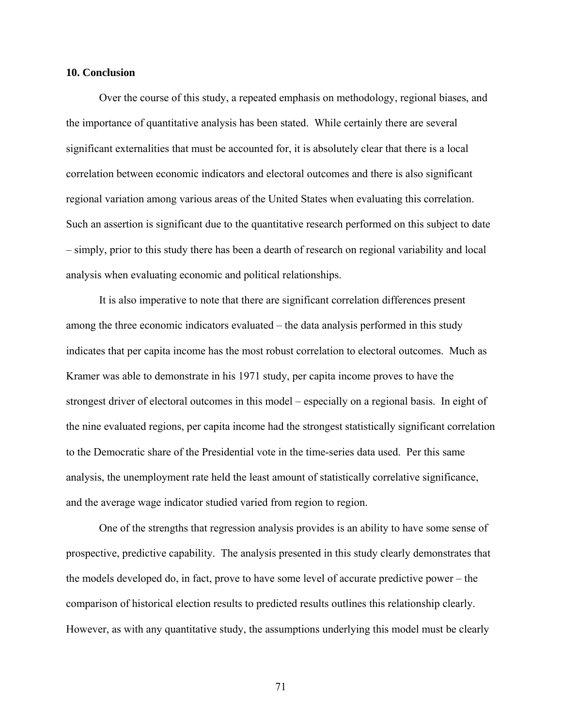## **10. Conclusion**

 Over the course of this study, a repeated emphasis on methodology, regional biases, and the importance of quantitative analysis has been stated. While certainly there are several significant externalities that must be accounted for, it is absolutely clear that there is a local correlation between economic indicators and electoral outcomes and there is also significant regional variation among various areas of the United States when evaluating this correlation. Such an assertion is significant due to the quantitative research performed on this subject to date – simply, prior to this study there has been a dearth of research on regional variability and local analysis when evaluating economic and political relationships.

 It is also imperative to note that there are significant correlation differences present among the three economic indicators evaluated – the data analysis performed in this study indicates that per capita income has the most robust correlation to electoral outcomes. Much as Kramer was able to demonstrate in his 1971 study, per capita income proves to have the strongest driver of electoral outcomes in this model – especially on a regional basis. In eight of the nine evaluated regions, per capita income had the strongest statistically significant correlation to the Democratic share of the Presidential vote in the time-series data used. Per this same analysis, the unemployment rate held the least amount of statistically correlative significance, and the average wage indicator studied varied from region to region.

 One of the strengths that regression analysis provides is an ability to have some sense of prospective, predictive capability. The analysis presented in this study clearly demonstrates that the models developed do, in fact, prove to have some level of accurate predictive power – the comparison of historical election results to predicted results outlines this relationship clearly. However, as with any quantitative study, the assumptions underlying this model must be clearly

71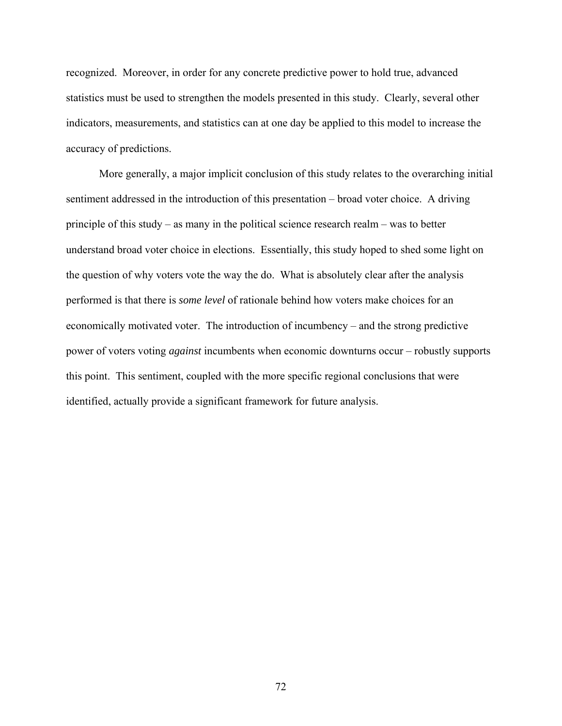recognized. Moreover, in order for any concrete predictive power to hold true, advanced statistics must be used to strengthen the models presented in this study. Clearly, several other indicators, measurements, and statistics can at one day be applied to this model to increase the accuracy of predictions.

 More generally, a major implicit conclusion of this study relates to the overarching initial sentiment addressed in the introduction of this presentation – broad voter choice. A driving principle of this study – as many in the political science research realm – was to better understand broad voter choice in elections. Essentially, this study hoped to shed some light on the question of why voters vote the way the do. What is absolutely clear after the analysis performed is that there is *some level* of rationale behind how voters make choices for an economically motivated voter. The introduction of incumbency – and the strong predictive power of voters voting *against* incumbents when economic downturns occur – robustly supports this point. This sentiment, coupled with the more specific regional conclusions that were identified, actually provide a significant framework for future analysis.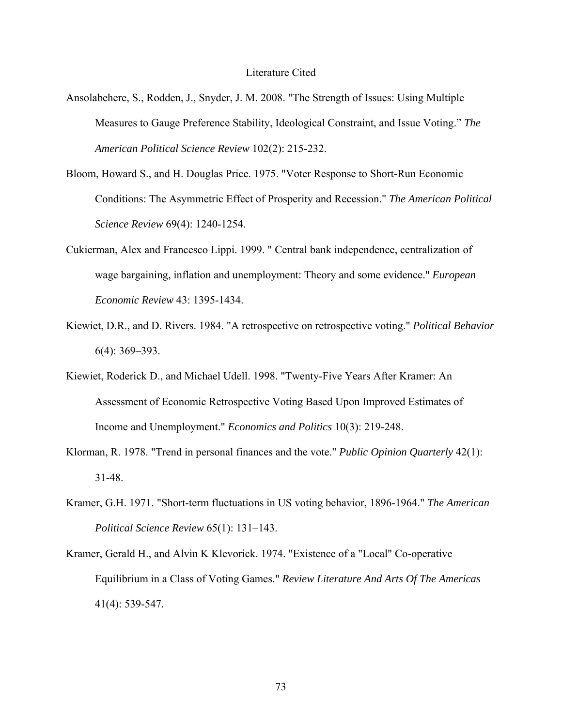## Literature Cited

- Ansolabehere, S., Rodden, J., Snyder, J. M. 2008. "The Strength of Issues: Using Multiple Measures to Gauge Preference Stability, Ideological Constraint, and Issue Voting." *The American Political Science Review* 102(2): 215-232.
- Bloom, Howard S., and H. Douglas Price. 1975. "Voter Response to Short-Run Economic Conditions: The Asymmetric Effect of Prosperity and Recession." *The American Political Science Review* 69(4): 1240-1254.
- Cukierman, Alex and Francesco Lippi. 1999. " Central bank independence, centralization of wage bargaining, inflation and unemployment: Theory and some evidence." *European Economic Review* 43: 1395-1434.
- Kiewiet, D.R., and D. Rivers. 1984. "A retrospective on retrospective voting." *Political Behavior* 6(4): 369–393.
- Kiewiet, Roderick D., and Michael Udell. 1998. "Twenty-Five Years After Kramer: An Assessment of Economic Retrospective Voting Based Upon Improved Estimates of Income and Unemployment." *Economics and Politics* 10(3): 219-248.
- Klorman, R. 1978. "Trend in personal finances and the vote." *Public Opinion Quarterly* 42(1): 31-48.
- Kramer, G.H. 1971. "Short-term fluctuations in US voting behavior, 1896-1964." *The American Political Science Review* 65(1): 131–143.
- Kramer, Gerald H., and Alvin K Klevorick. 1974. "Existence of a "Local" Co-operative Equilibrium in a Class of Voting Games." *Review Literature And Arts Of The Americas* 41(4): 539-547.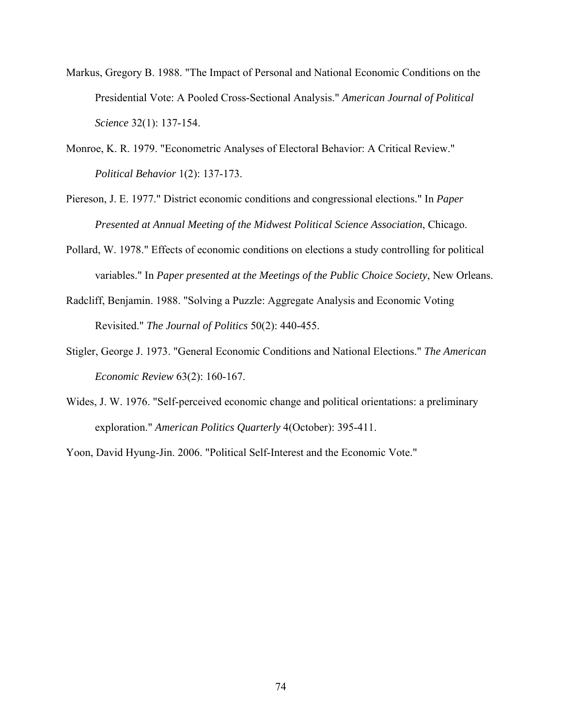- Markus, Gregory B. 1988. "The Impact of Personal and National Economic Conditions on the Presidential Vote: A Pooled Cross-Sectional Analysis." *American Journal of Political Science* 32(1): 137-154.
- Monroe, K. R. 1979. "Econometric Analyses of Electoral Behavior: A Critical Review." *Political Behavior* 1(2): 137-173.
- Piereson, J. E. 1977." District economic conditions and congressional elections." In *Paper Presented at Annual Meeting of the Midwest Political Science Association*, Chicago.
- Pollard, W. 1978." Effects of economic conditions on elections a study controlling for political variables." In *Paper presented at the Meetings of the Public Choice Society*, New Orleans.
- Radcliff, Benjamin. 1988. "Solving a Puzzle: Aggregate Analysis and Economic Voting Revisited." *The Journal of Politics* 50(2): 440-455.
- Stigler, George J. 1973. "General Economic Conditions and National Elections." *The American Economic Review* 63(2): 160-167.
- Wides, J. W. 1976. "Self-perceived economic change and political orientations: a preliminary exploration." *American Politics Quarterly* 4(October): 395-411.

Yoon, David Hyung-Jin. 2006. "Political Self-Interest and the Economic Vote."